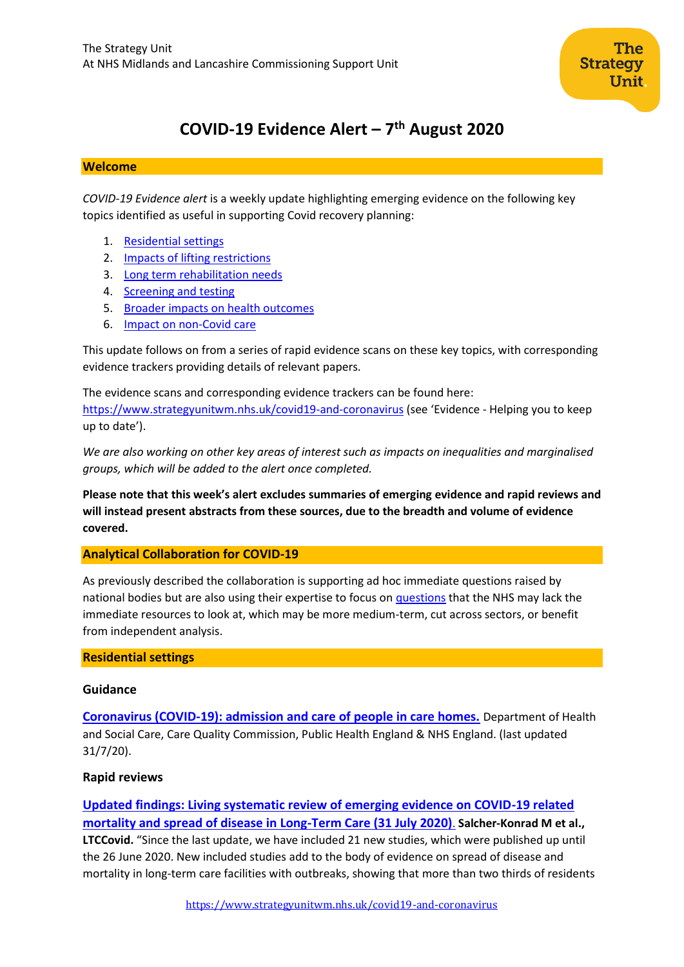# **COVID-19 Evidence Alert – 7 th August 2020**

#### **Welcome**

*COVID-19 Evidence alert* is a weekly update highlighting emerging evidence on the following key topics identified as useful in supporting Covid recovery planning:

- 1. [Residential settings](#page-0-0)
- 2. Impacts of lifting restrictions
- 3. Long term rehabilitation needs
- 4. [Screening and testing](#page-11-0)
- 5. Broader impacts on health outcomes
- 6. Impact on non-Covid care

This update follows on from a series of rapid evidence scans on these key topics, with corresponding evidence trackers providing details of relevant papers.

The evidence scans and corresponding evidence trackers can be found here: <https://www.strategyunitwm.nhs.uk/covid19-and-coronavirus> (see 'Evidence - Helping you to keep up to date').

*We are also working on other key areas of interest such as impacts on inequalities and marginalised groups, which will be added to the alert once completed.*

**Please note that this week's alert excludes summaries of emerging evidence and rapid reviews and will instead present abstracts from these sources, due to the breadth and volume of evidence covered.**

## <span id="page-0-0"></span>**Analytical Collaboration for COVID-19**

As previously described the collaboration is supporting ad hoc immediate questions raised by national bodies but are also using their expertise to focus on [questions](https://www.strategyunitwm.nhs.uk/sites/default/files/2020-05/Covid%20Collaboration%20Summaries_0.pdf) that the NHS may lack the immediate resources to look at, which may be more medium-term, cut across sectors, or benefit from independent analysis.

#### **Residential settings**

#### **Guidance**

**[Coronavirus \(COVID-19\): admission and care of people in care homes.](https://www.gov.uk/government/publications/coronavirus-covid-19-admission-and-care-of-people-in-care-homes)** Department of Health and Social Care, Care Quality Commission, Public Health England & NHS England. (last updated 31/7/20).

## **Rapid reviews**

**[Updated findings: Living systematic review of emerging evidence on COVID-19 related](https://ltccovid.org/2020/08/02/updated-findings-living-systematic-review-of-emerging-evidence-on-covid-19-related-mortality-and-spread-of-disease-in-long-term-care-31-july-2020/)  [mortality and spread of disease in Long-Term Care \(31 July 2020\)](https://ltccovid.org/2020/08/02/updated-findings-living-systematic-review-of-emerging-evidence-on-covid-19-related-mortality-and-spread-of-disease-in-long-term-care-31-july-2020/)**. **Salcher-Konrad M et al., LTCCovid.** "Since the last update, we have included 21 new studies, which were published up until the 26 June 2020. New included studies add to the body of evidence on spread of disease and mortality in long-term care facilities with outbreaks, showing that more than two thirds of residents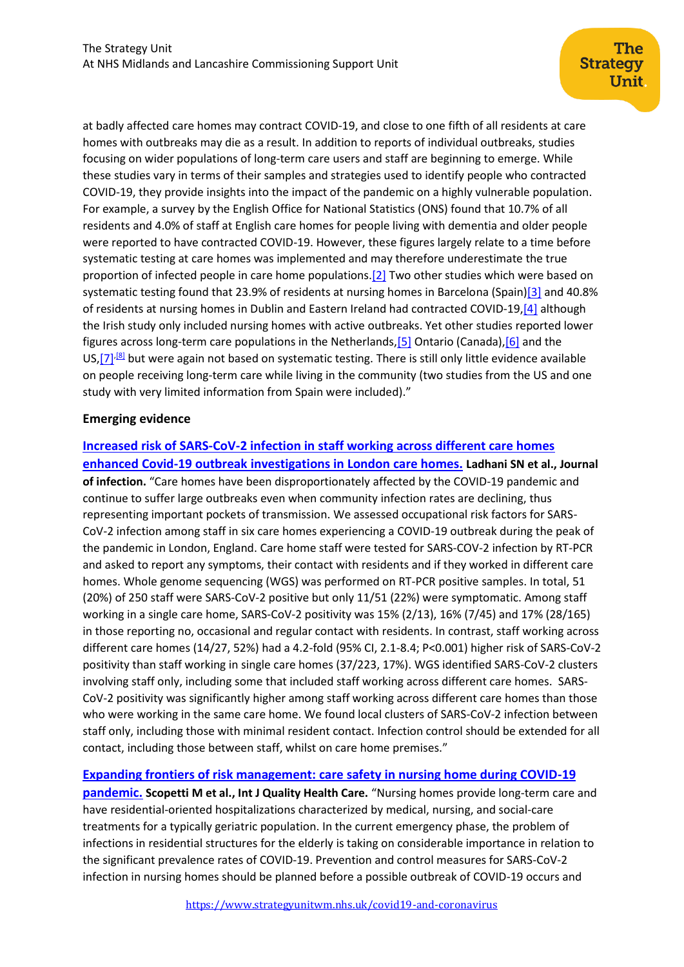at badly affected care homes may contract COVID-19, and close to one fifth of all residents at care homes with outbreaks may die as a result. In addition to reports of individual outbreaks, studies focusing on wider populations of long-term care users and staff are beginning to emerge. While these studies vary in terms of their samples and strategies used to identify people who contracted COVID-19, they provide insights into the impact of the pandemic on a highly vulnerable population. For example, a survey by the English Office for National Statistics (ONS) found that 10.7% of all residents and 4.0% of staff at English care homes for people living with dementia and older people were reported to have contracted COVID-19. However, these figures largely relate to a time before systematic testing at care homes was implemented and may therefore underestimate the true proportion of infected people in care home populations[.\[2\]](https://ltccovid.org/2020/08/02/updated-findings-living-systematic-review-of-emerging-evidence-on-covid-19-related-mortality-and-spread-of-disease-in-long-term-care-31-july-2020/#_edn2) Two other studies which were based on systematic testing found that 23.9% of residents at nursing homes in Barcelona (Spain[\)\[3\]](https://ltccovid.org/2020/08/02/updated-findings-living-systematic-review-of-emerging-evidence-on-covid-19-related-mortality-and-spread-of-disease-in-long-term-care-31-july-2020/#_edn3) and 40.8% of residents at nursing homes in Dublin and Eastern Ireland had contracted COVID-19[,\[4\]](https://ltccovid.org/2020/08/02/updated-findings-living-systematic-review-of-emerging-evidence-on-covid-19-related-mortality-and-spread-of-disease-in-long-term-care-31-july-2020/#_edn4) although the Irish study only included nursing homes with active outbreaks. Yet other studies reported lower figures across long-term care populations in the Netherland[s,\[5\]](https://ltccovid.org/2020/08/02/updated-findings-living-systematic-review-of-emerging-evidence-on-covid-19-related-mortality-and-spread-of-disease-in-long-term-care-31-july-2020/#_edn5) Ontario (Canada)[,\[6\]](https://ltccovid.org/2020/08/02/updated-findings-living-systematic-review-of-emerging-evidence-on-covid-19-related-mortality-and-spread-of-disease-in-long-term-care-31-july-2020/#_edn6) and the US,  $[7]$ <sup>[8]</sup> but were again not based on systematic testing. There is still only little evidence available on people receiving long-term care while living in the community (two studies from the US and one study with very limited information from Spain were included)."

## **Emerging evidence**

**[Increased risk of SARS-CoV-2 infection in staff working across different care homes](https://www.journalofinfection.com/article/S0163-4453(20)30508-9/fulltext)  [enhanced Covid-19 outbreak investigations in London care homes.](https://www.journalofinfection.com/article/S0163-4453(20)30508-9/fulltext) Ladhani SN et al., Journal of infection.** "Care homes have been disproportionately affected by the COVID-19 pandemic and continue to suffer large outbreaks even when community infection rates are declining, thus representing important pockets of transmission. We assessed occupational risk factors for SARS-CoV-2 infection among staff in six care homes experiencing a COVID-19 outbreak during the peak of the pandemic in London, England. Care home staff were tested for SARS-COV-2 infection by RT-PCR and asked to report any symptoms, their contact with residents and if they worked in different care homes. Whole genome sequencing (WGS) was performed on RT-PCR positive samples. In total, 51 (20%) of 250 staff were SARS-CoV-2 positive but only 11/51 (22%) were symptomatic. Among staff working in a single care home, SARS-CoV-2 positivity was 15% (2/13), 16% (7/45) and 17% (28/165) in those reporting no, occasional and regular contact with residents. In contrast, staff working across different care homes (14/27, 52%) had a 4.2-fold (95% CI, 2.1-8.4; P<0.001) higher risk of SARS-CoV-2 positivity than staff working in single care homes (37/223, 17%). WGS identified SARS-CoV-2 clusters involving staff only, including some that included staff working across different care homes. SARS-CoV-2 positivity was significantly higher among staff working across different care homes than those who were working in the same care home. We found local clusters of SARS-CoV-2 infection between staff only, including those with minimal resident contact. Infection control should be extended for all contact, including those between staff, whilst on care home premises."

**[Expanding frontiers of risk management: care safety in nursing home during COVID-19](https://academic.oup.com/intqhc/article/doi/10.1093/intqhc/mzaa085/5876817)** 

**[pandemic.](https://academic.oup.com/intqhc/article/doi/10.1093/intqhc/mzaa085/5876817) Scopetti M et al., Int J Quality Health Care.** "Nursing homes provide long-term care and have residential-oriented hospitalizations characterized by medical, nursing, and social-care treatments for a typically geriatric population. In the current emergency phase, the problem of infections in residential structures for the elderly is taking on considerable importance in relation to the significant prevalence rates of COVID-19. Prevention and control measures for SARS-CoV-2 infection in nursing homes should be planned before a possible outbreak of COVID-19 occurs and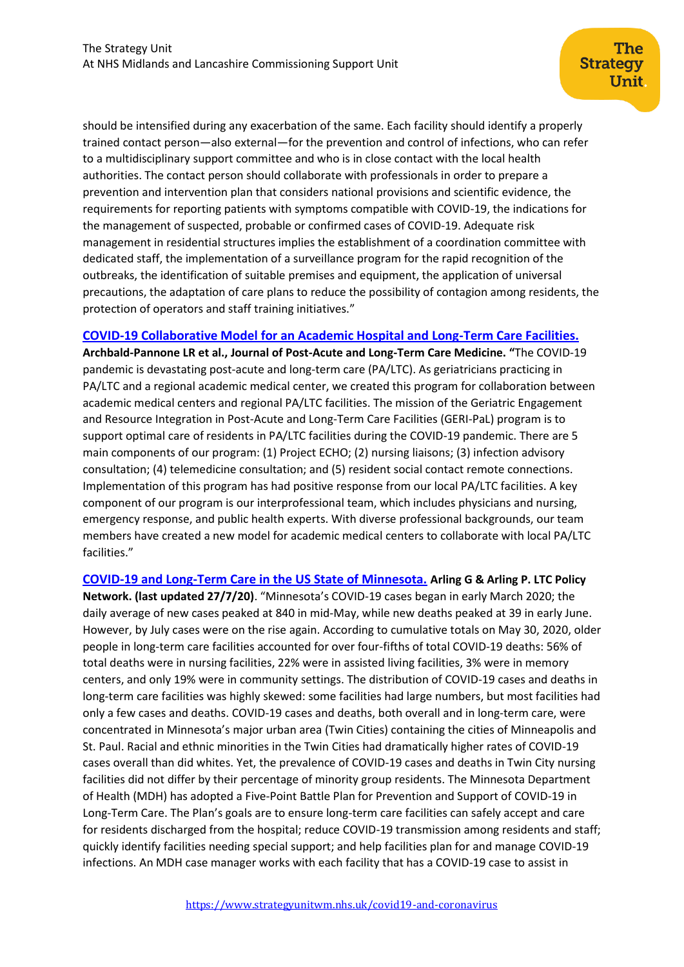should be intensified during any exacerbation of the same. Each facility should identify a properly trained contact person—also external—for the prevention and control of infections, who can refer to a multidisciplinary support committee and who is in close contact with the local health authorities. The contact person should collaborate with professionals in order to prepare a prevention and intervention plan that considers national provisions and scientific evidence, the requirements for reporting patients with symptoms compatible with COVID-19, the indications for the management of suspected, probable or confirmed cases of COVID-19. Adequate risk management in residential structures implies the establishment of a coordination committee with dedicated staff, the implementation of a surveillance program for the rapid recognition of the outbreaks, the identification of suitable premises and equipment, the application of universal precautions, the adaptation of care plans to reduce the possibility of contagion among residents, the protection of operators and staff training initiatives."

## **[COVID-19 Collaborative Model for an Academic Hospital and Long-Term Care Facilities.](https://www.jamda.com/article/S1525-8610(20)30447-3/fulltext)**

**Archbald-Pannone LR et al., Journal of Post-Acute and Long-Term Care Medicine. "**The COVID-19 pandemic is devastating post-acute and long-term care (PA/LTC). As geriatricians practicing in PA/LTC and a regional academic medical center, we created this program for collaboration between academic medical centers and regional PA/LTC facilities. The mission of the Geriatric Engagement and Resource Integration in Post-Acute and Long-Term Care Facilities (GERI-PaL) program is to support optimal care of residents in PA/LTC facilities during the COVID-19 pandemic. There are 5 main components of our program: (1) Project ECHO; (2) nursing liaisons; (3) infection advisory consultation; (4) telemedicine consultation; and (5) resident social contact remote connections. Implementation of this program has had positive response from our local PA/LTC facilities. A key component of our program is our interprofessional team, which includes physicians and nursing, emergency response, and public health experts. With diverse professional backgrounds, our team members have created a new model for academic medical centers to collaborate with local PA/LTC facilities."

**[COVID-19 and Long-Term Care in the US State of Minnesota.](https://ltccovid.org/wp-content/uploads/2020/07/The-COVID-19-Long-Term-Care-situation-in-Minnesota-USA-27-July-2020.pdf) Arling G & Arling P. LTC Policy Network. (last updated 27/7/20)**. "Minnesota's COVID-19 cases began in early March 2020; the daily average of new cases peaked at 840 in mid-May, while new deaths peaked at 39 in early June. However, by July cases were on the rise again. According to cumulative totals on May 30, 2020, older people in long-term care facilities accounted for over four-fifths of total COVID-19 deaths: 56% of total deaths were in nursing facilities, 22% were in assisted living facilities, 3% were in memory centers, and only 19% were in community settings. The distribution of COVID-19 cases and deaths in long-term care facilities was highly skewed: some facilities had large numbers, but most facilities had only a few cases and deaths. COVID-19 cases and deaths, both overall and in long-term care, were concentrated in Minnesota's major urban area (Twin Cities) containing the cities of Minneapolis and St. Paul. Racial and ethnic minorities in the Twin Cities had dramatically higher rates of COVID-19 cases overall than did whites. Yet, the prevalence of COVID-19 cases and deaths in Twin City nursing facilities did not differ by their percentage of minority group residents. The Minnesota Department of Health (MDH) has adopted a Five-Point Battle Plan for Prevention and Support of COVID-19 in Long-Term Care. The Plan's goals are to ensure long-term care facilities can safely accept and care for residents discharged from the hospital; reduce COVID-19 transmission among residents and staff; quickly identify facilities needing special support; and help facilities plan for and manage COVID-19 infections. An MDH case manager works with each facility that has a COVID-19 case to assist in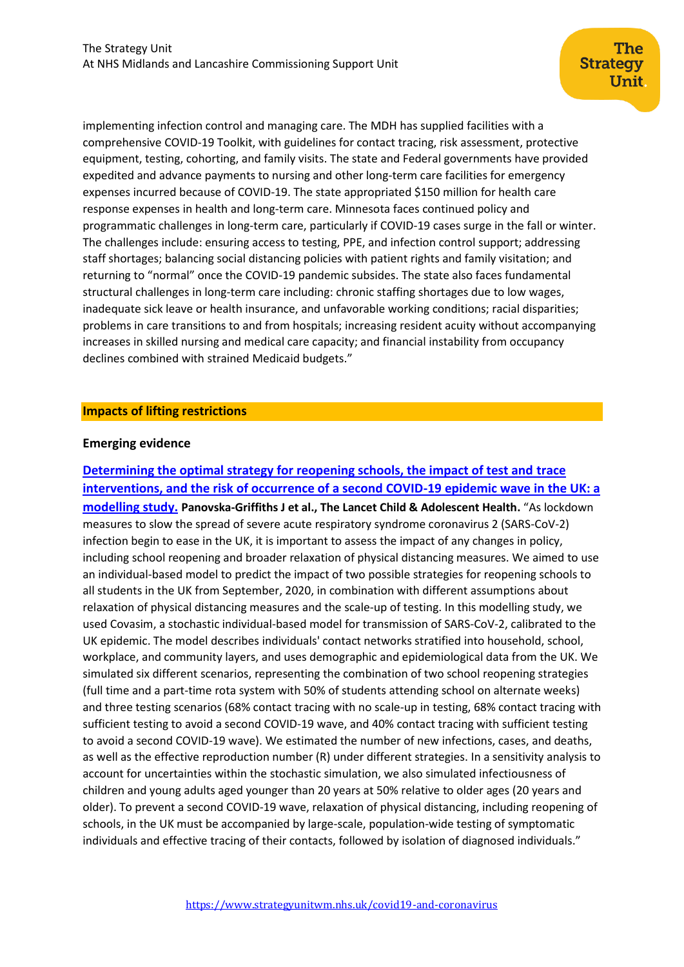implementing infection control and managing care. The MDH has supplied facilities with a comprehensive COVID-19 Toolkit, with guidelines for contact tracing, risk assessment, protective equipment, testing, cohorting, and family visits. The state and Federal governments have provided expedited and advance payments to nursing and other long-term care facilities for emergency expenses incurred because of COVID-19. The state appropriated \$150 million for health care response expenses in health and long-term care. Minnesota faces continued policy and programmatic challenges in long-term care, particularly if COVID-19 cases surge in the fall or winter. The challenges include: ensuring access to testing, PPE, and infection control support; addressing staff shortages; balancing social distancing policies with patient rights and family visitation; and returning to "normal" once the COVID-19 pandemic subsides. The state also faces fundamental structural challenges in long-term care including: chronic staffing shortages due to low wages, inadequate sick leave or health insurance, and unfavorable working conditions; racial disparities; problems in care transitions to and from hospitals; increasing resident acuity without accompanying increases in skilled nursing and medical care capacity; and financial instability from occupancy declines combined with strained Medicaid budgets."

#### **Impacts of lifting restrictions**

#### **Emerging evidence**

**[Determining the optimal strategy for reopening schools, the impact of test and](https://www.thelancet.com/journals/lanchi/article/PIIS2352-4642(20)30250-9/fulltext) trace [interventions, and the risk of occurrence of a second COVID-19 epidemic wave in the UK: a](https://www.thelancet.com/journals/lanchi/article/PIIS2352-4642(20)30250-9/fulltext)  [modelling study.](https://www.thelancet.com/journals/lanchi/article/PIIS2352-4642(20)30250-9/fulltext) Panovska-Griffiths J et al., The Lancet Child & Adolescent Health.** "As lockdown measures to slow the spread of severe acute respiratory syndrome coronavirus 2 (SARS-CoV-2) infection begin to ease in the UK, it is important to assess the impact of any changes in policy, including school reopening and broader relaxation of physical distancing measures. We aimed to use an individual-based model to predict the impact of two possible strategies for reopening schools to all students in the UK from September, 2020, in combination with different assumptions about relaxation of physical distancing measures and the scale-up of testing. In this modelling study, we used Covasim, a stochastic individual-based model for transmission of SARS-CoV-2, calibrated to the UK epidemic. The model describes individuals' contact networks stratified into household, school, workplace, and community layers, and uses demographic and epidemiological data from the UK. We simulated six different scenarios, representing the combination of two school reopening strategies (full time and a part-time rota system with 50% of students attending school on alternate weeks) and three testing scenarios (68% contact tracing with no scale-up in testing, 68% contact tracing with sufficient testing to avoid a second COVID-19 wave, and 40% contact tracing with sufficient testing to avoid a second COVID-19 wave). We estimated the number of new infections, cases, and deaths, as well as the effective reproduction number (R) under different strategies. In a sensitivity analysis to account for uncertainties within the stochastic simulation, we also simulated infectiousness of children and young adults aged younger than 20 years at 50% relative to older ages (20 years and older). To prevent a second COVID-19 wave, relaxation of physical distancing, including reopening of schools, in the UK must be accompanied by large-scale, population-wide testing of symptomatic individuals and effective tracing of their contacts, followed by isolation of diagnosed individuals."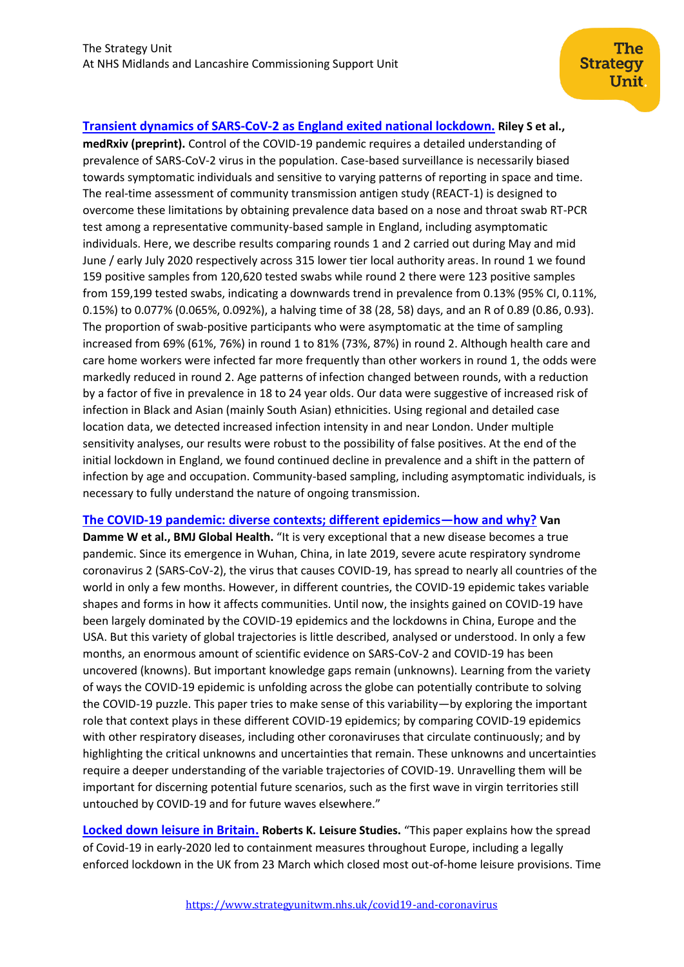**[Transient dynamics of SARS-CoV-2 as England exited national lockdown.](https://www.medrxiv.org/content/10.1101/2020.08.05.20169078v1) Riley S et al., medRxiv (preprint).** Control of the COVID-19 pandemic requires a detailed understanding of prevalence of SARS-CoV-2 virus in the population. Case-based surveillance is necessarily biased towards symptomatic individuals and sensitive to varying patterns of reporting in space and time. The real-time assessment of community transmission antigen study (REACT-1) is designed to overcome these limitations by obtaining prevalence data based on a nose and throat swab RT-PCR test among a representative community-based sample in England, including asymptomatic individuals. Here, we describe results comparing rounds 1 and 2 carried out during May and mid June / early July 2020 respectively across 315 lower tier local authority areas. In round 1 we found 159 positive samples from 120,620 tested swabs while round 2 there were 123 positive samples from 159,199 tested swabs, indicating a downwards trend in prevalence from 0.13% (95% CI, 0.11%, 0.15%) to 0.077% (0.065%, 0.092%), a halving time of 38 (28, 58) days, and an R of 0.89 (0.86, 0.93). The proportion of swab-positive participants who were asymptomatic at the time of sampling increased from 69% (61%, 76%) in round 1 to 81% (73%, 87%) in round 2. Although health care and care home workers were infected far more frequently than other workers in round 1, the odds were markedly reduced in round 2. Age patterns of infection changed between rounds, with a reduction by a factor of five in prevalence in 18 to 24 year olds. Our data were suggestive of increased risk of infection in Black and Asian (mainly South Asian) ethnicities. Using regional and detailed case location data, we detected increased infection intensity in and near London. Under multiple sensitivity analyses, our results were robust to the possibility of false positives. At the end of the initial lockdown in England, we found continued decline in prevalence and a shift in the pattern of infection by age and occupation. Community-based sampling, including asymptomatic individuals, is necessary to fully understand the nature of ongoing transmission.

#### **[The COVID-19 pandemic: diverse contexts; different epidemics](https://gh.bmj.com/content/5/7/e003098.long)—how and why? Van**

**Damme W et al., BMJ Global Health.** "It is very exceptional that a new disease becomes a true pandemic. Since its emergence in Wuhan, China, in late 2019, severe acute respiratory syndrome coronavirus 2 (SARS-CoV-2), the virus that causes COVID-19, has spread to nearly all countries of the world in only a few months. However, in different countries, the COVID-19 epidemic takes variable shapes and forms in how it affects communities. Until now, the insights gained on COVID-19 have been largely dominated by the COVID-19 epidemics and the lockdowns in China, Europe and the USA. But this variety of global trajectories is little described, analysed or understood. In only a few months, an enormous amount of scientific evidence on SARS-CoV-2 and COVID-19 has been uncovered (knowns). But important knowledge gaps remain (unknowns). Learning from the variety of ways the COVID-19 epidemic is unfolding across the globe can potentially contribute to solving the COVID-19 puzzle. This paper tries to make sense of this variability—by exploring the important role that context plays in these different COVID-19 epidemics; by comparing COVID-19 epidemics with other respiratory diseases, including other coronaviruses that circulate continuously; and by highlighting the critical unknowns and uncertainties that remain. These unknowns and uncertainties require a deeper understanding of the variable trajectories of COVID-19. Unravelling them will be important for discerning potential future scenarios, such as the first wave in virgin territories still untouched by COVID-19 and for future waves elsewhere."

**[Locked down leisure in Britain.](https://www.tandfonline.com/doi/pdf/10.1080/02614367.2020.1791937?needAccess=true) Roberts K. Leisure Studies.** "This paper explains how the spread of Covid-19 in early-2020 led to containment measures throughout Europe, including a legally enforced lockdown in the UK from 23 March which closed most out-of-home leisure provisions. Time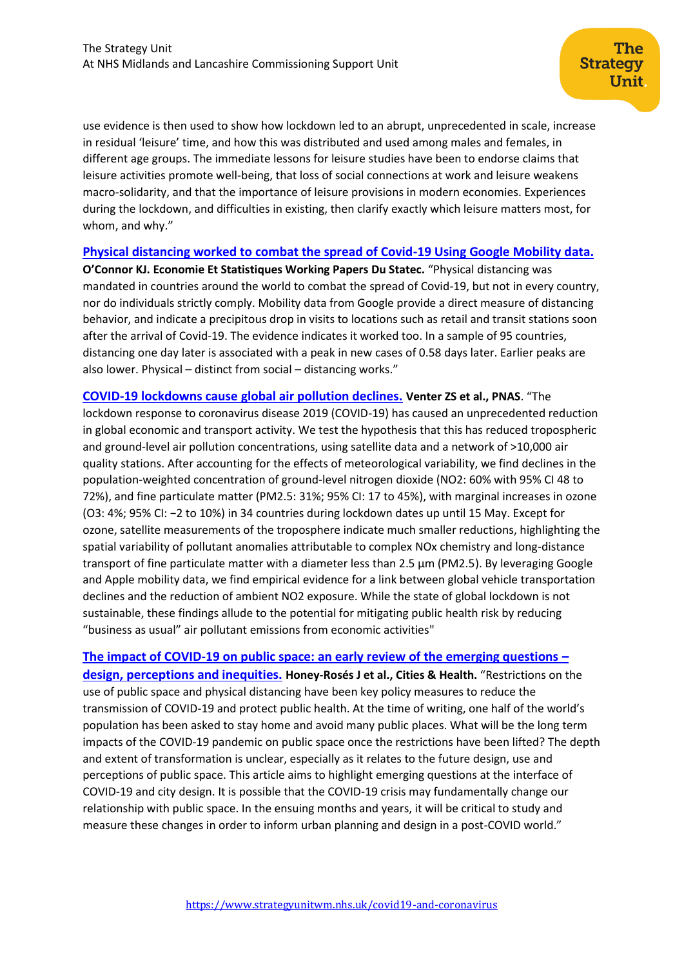use evidence is then used to show how lockdown led to an abrupt, unprecedented in scale, increase in residual 'leisure' time, and how this was distributed and used among males and females, in different age groups. The immediate lessons for leisure studies have been to endorse claims that leisure activities promote well-being, that loss of social connections at work and leisure weakens macro-solidarity, and that the importance of leisure provisions in modern economies. Experiences during the lockdown, and difficulties in existing, then clarify exactly which leisure matters most, for whom, and why."

#### **[Physical distancing worked to combat the spread of Covid-19 Using Google Mobility data.](https://statistiques.public.lu/catalogue-publications/economie-statistiques/2020/116-2020.pdf)**

**O'Connor KJ. Economie Et Statistiques Working Papers Du Statec.** "Physical distancing was mandated in countries around the world to combat the spread of Covid-19, but not in every country, nor do individuals strictly comply. Mobility data from Google provide a direct measure of distancing behavior, and indicate a precipitous drop in visits to locations such as retail and transit stations soon after the arrival of Covid-19. The evidence indicates it worked too. In a sample of 95 countries, distancing one day later is associated with a peak in new cases of 0.58 days later. Earlier peaks are also lower. Physical – distinct from social – distancing works."

**COVID-19 lockdowns cause [global air pollution declines.](https://www.pnas.org/content/early/2020/07/23/2006853117.short) Venter ZS et al., PNAS**. "The lockdown response to coronavirus disease 2019 (COVID-19) has caused an unprecedented reduction in global economic and transport activity. We test the hypothesis that this has reduced tropospheric and ground-level air pollution concentrations, using satellite data and a network of >10,000 air quality stations. After accounting for the effects of meteorological variability, we find declines in the population-weighted concentration of ground-level nitrogen dioxide (NO2: 60% with 95% CI 48 to 72%), and fine particulate matter (PM2.5: 31%; 95% CI: 17 to 45%), with marginal increases in ozone (O3: 4%; 95% CI: −2 to 10%) in 34 countries during lockdown dates up until 15 May. Except for ozone, satellite measurements of the troposphere indicate much smaller reductions, highlighting the spatial variability of pollutant anomalies attributable to complex NOx chemistry and long-distance transport of fine particulate matter with a diameter less than  $2.5 \mu m$  (PM2.5). By leveraging Google and Apple mobility data, we find empirical evidence for a link between global vehicle transportation declines and the reduction of ambient NO2 exposure. While the state of global lockdown is not sustainable, these findings allude to the potential for mitigating public health risk by reducing "business as usual" air pollutant emissions from economic activities"

**[The impact of COVID-19 on public space: an early review of the emerging questions](https://www.tandfonline.com/doi/full/10.1080/23748834.2020.1780074) – [design, perceptions and inequities.](https://www.tandfonline.com/doi/full/10.1080/23748834.2020.1780074) Honey-Rosés J et al., Cities & Health.** "Restrictions on the use of public space and physical distancing have been key policy measures to reduce the transmission of COVID-19 and protect public health. At the time of writing, one half of the world's population has been asked to stay home and avoid many public places. What will be the long term impacts of the COVID-19 pandemic on public space once the restrictions have been lifted? The depth and extent of transformation is unclear, especially as it relates to the future design, use and perceptions of public space. This article aims to highlight emerging questions at the interface of COVID-19 and city design. It is possible that the COVID-19 crisis may fundamentally change our relationship with public space. In the ensuing months and years, it will be critical to study and measure these changes in order to inform urban planning and design in a post-COVID world."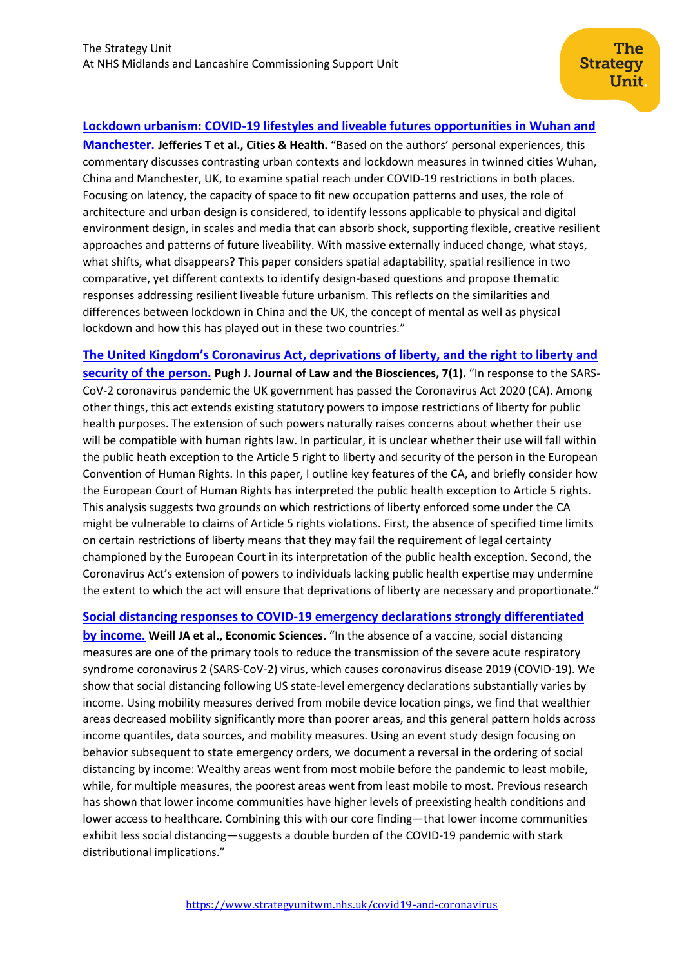## **[Lockdown urbanism: COVID-19 lifestyles and liveable futures opportunities in Wuhan and](https://www.tandfonline.com/doi/full/10.1080/23748834.2020.1788771)**

**[Manchester.](https://www.tandfonline.com/doi/full/10.1080/23748834.2020.1788771) Jefferies T et al., Cities & Health.** "Based on the authors' personal experiences, this commentary discusses contrasting urban contexts and lockdown measures in twinned cities Wuhan, China and Manchester, UK, to examine spatial reach under COVID-19 restrictions in both places. Focusing on latency, the capacity of space to fit new occupation patterns and uses, the role of architecture and urban design is considered, to identify lessons applicable to physical and digital environment design, in scales and media that can absorb shock, supporting flexible, creative resilient approaches and patterns of future liveability. With massive externally induced change, what stays, what shifts, what disappears? This paper considers spatial adaptability, spatial resilience in two comparative, yet different contexts to identify design-based questions and propose thematic responses addressing resilient liveable future urbanism. This reflects on the similarities and differences between lockdown in China and the UK, the concept of mental as well as physical lockdown and how this has played out in these two countries."

**[The United Kingdom's Coronavirus Act, deprivations of liberty, and](https://academic.oup.com/jlb/article/7/1/lsaa011/5826792) the right to liberty and [security of the person.](https://academic.oup.com/jlb/article/7/1/lsaa011/5826792) Pugh J. Journal of Law and the Biosciences, 7(1).** "In response to the SARS-CoV-2 coronavirus pandemic the UK government has passed the Coronavirus Act 2020 (CA). Among other things, this act extends existing statutory powers to impose restrictions of liberty for public health purposes. The extension of such powers naturally raises concerns about whether their use will be compatible with human rights law. In particular, it is unclear whether their use will fall within the public heath exception to the Article 5 right to liberty and security of the person in the European Convention of Human Rights. In this paper, I outline key features of the CA, and briefly consider how the European Court of Human Rights has interpreted the public health exception to Article 5 rights. This analysis suggests two grounds on which restrictions of liberty enforced some under the CA might be vulnerable to claims of Article 5 rights violations. First, the absence of specified time limits on certain restrictions of liberty means that they may fail the requirement of legal certainty championed by the European Court in its interpretation of the public health exception. Second, the Coronavirus Act's extension of powers to individuals lacking public health expertise may undermine the extent to which the act will ensure that deprivations of liberty are necessary and proportionate."

## **[Social distancing responses to COVID-19 emergency declarations strongly differentiated](https://www.pnas.org/content/pnas/early/2020/07/28/2009412117.full.pdf)**

**[by income.](https://www.pnas.org/content/pnas/early/2020/07/28/2009412117.full.pdf) Weill JA et al., Economic Sciences.** "In the absence of a vaccine, social distancing measures are one of the primary tools to reduce the transmission of the severe acute respiratory syndrome coronavirus 2 (SARS-CoV-2) virus, which causes coronavirus disease 2019 (COVID-19). We show that social distancing following US state-level emergency declarations substantially varies by income. Using mobility measures derived from mobile device location pings, we find that wealthier areas decreased mobility significantly more than poorer areas, and this general pattern holds across income quantiles, data sources, and mobility measures. Using an event study design focusing on behavior subsequent to state emergency orders, we document a reversal in the ordering of social distancing by income: Wealthy areas went from most mobile before the pandemic to least mobile, while, for multiple measures, the poorest areas went from least mobile to most. Previous research has shown that lower income communities have higher levels of preexisting health conditions and lower access to healthcare. Combining this with our core finding—that lower income communities exhibit less social distancing—suggests a double burden of the COVID-19 pandemic with stark distributional implications."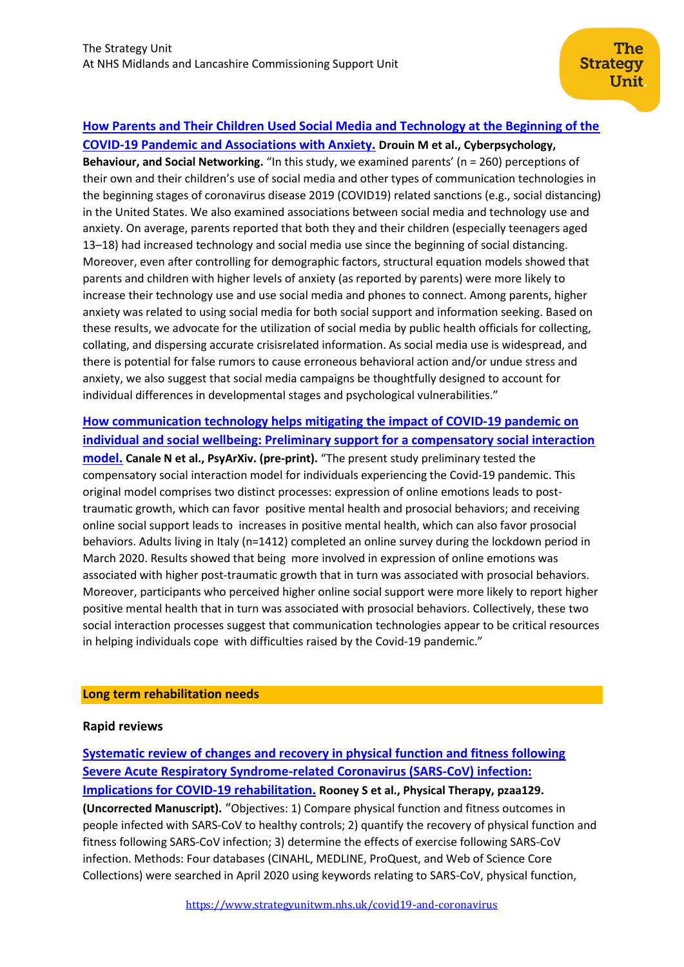# **[How Parents and Their Children Used Social Media and Technology at the Beginning of the](https://www.liebertpub.com/doi/pdf/10.1089/cyber.2020.0284)**

**[COVID-19 Pandemic and Associations with Anxiety.](https://www.liebertpub.com/doi/pdf/10.1089/cyber.2020.0284) Drouin M et al., Cyberpsychology, Behaviour, and Social Networking.** "In this study, we examined parents' (n = 260) perceptions of their own and their children's use of social media and other types of communication technologies in the beginning stages of coronavirus disease 2019 (COVID19) related sanctions (e.g., social distancing) in the United States. We also examined associations between social media and technology use and anxiety. On average, parents reported that both they and their children (especially teenagers aged 13–18) had increased technology and social media use since the beginning of social distancing. Moreover, even after controlling for demographic factors, structural equation models showed that parents and children with higher levels of anxiety (as reported by parents) were more likely to increase their technology use and use social media and phones to connect. Among parents, higher anxiety was related to using social media for both social support and information seeking. Based on these results, we advocate for the utilization of social media by public health officials for collecting, collating, and dispersing accurate crisisrelated information. As social media use is widespread, and there is potential for false rumors to cause erroneous behavioral action and/or undue stress and anxiety, we also suggest that social media campaigns be thoughtfully designed to account for individual differences in developmental stages and psychological vulnerabilities."

**[How communication technology helps mitigating the impact of COVID-19 pandemic on](https://psyarxiv.com/zxsra/)  [individual and social wellbeing: Preliminary support for a compensatory social interaction](https://psyarxiv.com/zxsra/)  [model.](https://psyarxiv.com/zxsra/) Canale N et al., PsyArXiv. (pre-print).** "The present study preliminary tested the compensatory social interaction model for individuals experiencing the Covid-19 pandemic. This original model comprises two distinct processes: expression of online emotions leads to posttraumatic growth, which can favor positive mental health and prosocial behaviors; and receiving online social support leads to increases in positive mental health, which can also favor prosocial behaviors. Adults living in Italy (n=1412) completed an online survey during the lockdown period in March 2020. Results showed that being more involved in expression of online emotions was associated with higher post-traumatic growth that in turn was associated with prosocial behaviors. Moreover, participants who perceived higher online social support were more likely to report higher positive mental health that in turn was associated with prosocial behaviors. Collectively, these two social interaction processes suggest that communication technologies appear to be critical resources in helping individuals cope with difficulties raised by the Covid-19 pandemic."

#### **Long term rehabilitation needs**

## **Rapid reviews**

**[Systematic review of changes and recovery in physical function and fitness following](https://watermark.silverchair.com/pzaa129.pdf?token=AQECAHi208BE49Ooan9kkhW_Ercy7Dm3ZL_9Cf3qfKAc485ysgAAArMwggKvBgkqhkiG9w0BBwagggKgMIICnAIBADCCApUGCSqGSIb3DQEHATAeBglghkgBZQMEAS4wEQQMRO9r4BuyEC0A_UwuAgEQgIICZsKaBf0sm7ghp1AMGNsk9yEyhWyUgob1ZkeVdF-jjMprENtGPwAAIqRJkk0z46cn93HfKuh2nTqs6MTY3Ze8AWaiBFFrisb7HZ5MGXiMQUww9O8pTRfbq2o2LVydAUwXROg8bH1wJO6DFmNE-PDTtBGAEj00GIJdq5zpTHnIFZw4yRBn6IsZVwDdNQ2y1Jj-NblREf1zOCPYAN8n14MFaAGgYaW3Mb3juHzPqsXAU8aALSidB9RUqiT8WhYF0mzGg_3XO3tHQ9tYn85UBzuX5P--K2MfP78T_Z9IRrEGCL4w0iVPDlLyiBOLOUZEZ-H2KN_ewTanXcY1D3bQvno4KO3IqjSdZ9QDa0sW4uWnLFexrCQurqzprLe8LhIQX-izNgS89bn-plJMyN3OkBNEvVVym4fjWGLDi5Yb9aMLLzQ_zFWT41FnEn-66QzVNzpZhW3NxK38WkJ1CyP2djOYKqdBO4wiahQMewjaw02qHqVYxa2dFx6ceRNfteZhPeJ2_ancirTx1312FhIMkLvbFXfP9bhnloIGJR7bXwACMFna1KHYjfyiIYHJDUqcrn8QdGGY_LbzzqctIJr3xlYkwlWZqfkUFwagK7PeQBgRiIjvXULRIX3CwKRtIbDstVSGcxMUf2tPTZ1DrEvV0P3ouounhtIPjcu7wKFmmCEoNvh1t3uyqrig8xbCgpizEiqodz4dSdee0ZoaHaUp2sJhrtvYHaNr0T7gwj9YkPpIcDA1aGqwd4yytjdQQJh9Bl2cK0EHApAgoxZ98pQwFiL3Nq_rRS_i8h3D2t7H6PHaJkyXLz2JiTeo)  [Severe Acute Respiratory Syndrome-related Coronavirus \(SARS-CoV\) infection:](https://watermark.silverchair.com/pzaa129.pdf?token=AQECAHi208BE49Ooan9kkhW_Ercy7Dm3ZL_9Cf3qfKAc485ysgAAArMwggKvBgkqhkiG9w0BBwagggKgMIICnAIBADCCApUGCSqGSIb3DQEHATAeBglghkgBZQMEAS4wEQQMRO9r4BuyEC0A_UwuAgEQgIICZsKaBf0sm7ghp1AMGNsk9yEyhWyUgob1ZkeVdF-jjMprENtGPwAAIqRJkk0z46cn93HfKuh2nTqs6MTY3Ze8AWaiBFFrisb7HZ5MGXiMQUww9O8pTRfbq2o2LVydAUwXROg8bH1wJO6DFmNE-PDTtBGAEj00GIJdq5zpTHnIFZw4yRBn6IsZVwDdNQ2y1Jj-NblREf1zOCPYAN8n14MFaAGgYaW3Mb3juHzPqsXAU8aALSidB9RUqiT8WhYF0mzGg_3XO3tHQ9tYn85UBzuX5P--K2MfP78T_Z9IRrEGCL4w0iVPDlLyiBOLOUZEZ-H2KN_ewTanXcY1D3bQvno4KO3IqjSdZ9QDa0sW4uWnLFexrCQurqzprLe8LhIQX-izNgS89bn-plJMyN3OkBNEvVVym4fjWGLDi5Yb9aMLLzQ_zFWT41FnEn-66QzVNzpZhW3NxK38WkJ1CyP2djOYKqdBO4wiahQMewjaw02qHqVYxa2dFx6ceRNfteZhPeJ2_ancirTx1312FhIMkLvbFXfP9bhnloIGJR7bXwACMFna1KHYjfyiIYHJDUqcrn8QdGGY_LbzzqctIJr3xlYkwlWZqfkUFwagK7PeQBgRiIjvXULRIX3CwKRtIbDstVSGcxMUf2tPTZ1DrEvV0P3ouounhtIPjcu7wKFmmCEoNvh1t3uyqrig8xbCgpizEiqodz4dSdee0ZoaHaUp2sJhrtvYHaNr0T7gwj9YkPpIcDA1aGqwd4yytjdQQJh9Bl2cK0EHApAgoxZ98pQwFiL3Nq_rRS_i8h3D2t7H6PHaJkyXLz2JiTeo)  [Implications for COVID-19 rehabilitation.](https://watermark.silverchair.com/pzaa129.pdf?token=AQECAHi208BE49Ooan9kkhW_Ercy7Dm3ZL_9Cf3qfKAc485ysgAAArMwggKvBgkqhkiG9w0BBwagggKgMIICnAIBADCCApUGCSqGSIb3DQEHATAeBglghkgBZQMEAS4wEQQMRO9r4BuyEC0A_UwuAgEQgIICZsKaBf0sm7ghp1AMGNsk9yEyhWyUgob1ZkeVdF-jjMprENtGPwAAIqRJkk0z46cn93HfKuh2nTqs6MTY3Ze8AWaiBFFrisb7HZ5MGXiMQUww9O8pTRfbq2o2LVydAUwXROg8bH1wJO6DFmNE-PDTtBGAEj00GIJdq5zpTHnIFZw4yRBn6IsZVwDdNQ2y1Jj-NblREf1zOCPYAN8n14MFaAGgYaW3Mb3juHzPqsXAU8aALSidB9RUqiT8WhYF0mzGg_3XO3tHQ9tYn85UBzuX5P--K2MfP78T_Z9IRrEGCL4w0iVPDlLyiBOLOUZEZ-H2KN_ewTanXcY1D3bQvno4KO3IqjSdZ9QDa0sW4uWnLFexrCQurqzprLe8LhIQX-izNgS89bn-plJMyN3OkBNEvVVym4fjWGLDi5Yb9aMLLzQ_zFWT41FnEn-66QzVNzpZhW3NxK38WkJ1CyP2djOYKqdBO4wiahQMewjaw02qHqVYxa2dFx6ceRNfteZhPeJ2_ancirTx1312FhIMkLvbFXfP9bhnloIGJR7bXwACMFna1KHYjfyiIYHJDUqcrn8QdGGY_LbzzqctIJr3xlYkwlWZqfkUFwagK7PeQBgRiIjvXULRIX3CwKRtIbDstVSGcxMUf2tPTZ1DrEvV0P3ouounhtIPjcu7wKFmmCEoNvh1t3uyqrig8xbCgpizEiqodz4dSdee0ZoaHaUp2sJhrtvYHaNr0T7gwj9YkPpIcDA1aGqwd4yytjdQQJh9Bl2cK0EHApAgoxZ98pQwFiL3Nq_rRS_i8h3D2t7H6PHaJkyXLz2JiTeo) Rooney S et al., Physical Therapy, pzaa129. (Uncorrected Manuscript).** "Objectives: 1) Compare physical function and fitness outcomes in people infected with SARS-CoV to healthy controls; 2) quantify the recovery of physical function and fitness following SARS-CoV infection; 3) determine the effects of exercise following SARS-CoV infection. Methods: Four databases (CINAHL, MEDLINE, ProQuest, and Web of Science Core Collections) were searched in April 2020 using keywords relating to SARS-CoV, physical function,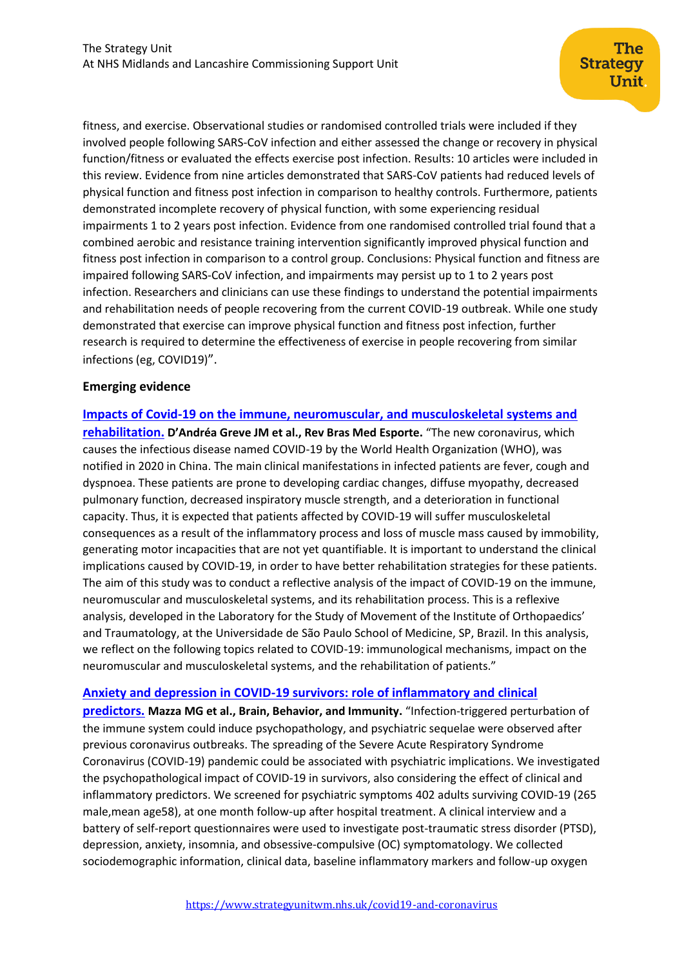fitness, and exercise. Observational studies or randomised controlled trials were included if they involved people following SARS-CoV infection and either assessed the change or recovery in physical function/fitness or evaluated the effects exercise post infection. Results: 10 articles were included in this review. Evidence from nine articles demonstrated that SARS-CoV patients had reduced levels of physical function and fitness post infection in comparison to healthy controls. Furthermore, patients demonstrated incomplete recovery of physical function, with some experiencing residual impairments 1 to 2 years post infection. Evidence from one randomised controlled trial found that a combined aerobic and resistance training intervention significantly improved physical function and fitness post infection in comparison to a control group. Conclusions: Physical function and fitness are impaired following SARS-CoV infection, and impairments may persist up to 1 to 2 years post infection. Researchers and clinicians can use these findings to understand the potential impairments and rehabilitation needs of people recovering from the current COVID-19 outbreak. While one study demonstrated that exercise can improve physical function and fitness post infection, further research is required to determine the effectiveness of exercise in people recovering from similar infections (eg, COVID19)".

## **Emerging evidence**

**[Impacts of Covid-19 on the immune, neuromuscular, and musculoskeletal systems and](https://www.scielo.br/pdf/rbme/v26n4/1806-9940-rbme-26-04-0285.pdf)  [rehabilitation.](https://www.scielo.br/pdf/rbme/v26n4/1806-9940-rbme-26-04-0285.pdf) D'Andréa Greve JM et al., Rev Bras Med Esporte.** "The new coronavirus, which causes the infectious disease named COVID-19 by the World Health Organization (WHO), was notified in 2020 in China. The main clinical manifestations in infected patients are fever, cough and dyspnoea. These patients are prone to developing cardiac changes, diffuse myopathy, decreased pulmonary function, decreased inspiratory muscle strength, and a deterioration in functional capacity. Thus, it is expected that patients affected by COVID-19 will suffer musculoskeletal consequences as a result of the inflammatory process and loss of muscle mass caused by immobility, generating motor incapacities that are not yet quantifiable. It is important to understand the clinical implications caused by COVID-19, in order to have better rehabilitation strategies for these patients. The aim of this study was to conduct a reflective analysis of the impact of COVID-19 on the immune, neuromuscular and musculoskeletal systems, and its rehabilitation process. This is a reflexive analysis, developed in the Laboratory for the Study of Movement of the Institute of Orthopaedics' and Traumatology, at the Universidade de São Paulo School of Medicine, SP, Brazil. In this analysis, we reflect on the following topics related to COVID-19: immunological mechanisms, impact on the neuromuscular and musculoskeletal systems, and the rehabilitation of patients."

## **[Anxiety and depression in COVID-19 survivors: role of inflammatory and clinical](https://www.sciencedirect.com/science/article/pii/S0889159120316068)**

**[predictors.](https://www.sciencedirect.com/science/article/pii/S0889159120316068) Mazza MG et al., Brain, Behavior, and Immunity.** "Infection-triggered perturbation of the immune system could induce psychopathology, and psychiatric sequelae were observed after previous coronavirus outbreaks. The spreading of the Severe Acute Respiratory Syndrome Coronavirus (COVID-19) pandemic could be associated with psychiatric implications. We investigated the psychopathological impact of COVID-19 in survivors, also considering the effect of clinical and inflammatory predictors. We screened for psychiatric symptoms 402 adults surviving COVID-19 (265 male,mean age58), at one month follow-up after hospital treatment. A clinical interview and a battery of self-report questionnaires were used to investigate post-traumatic stress disorder (PTSD), depression, anxiety, insomnia, and obsessive-compulsive (OC) symptomatology. We collected sociodemographic information, clinical data, baseline inflammatory markers and follow-up oxygen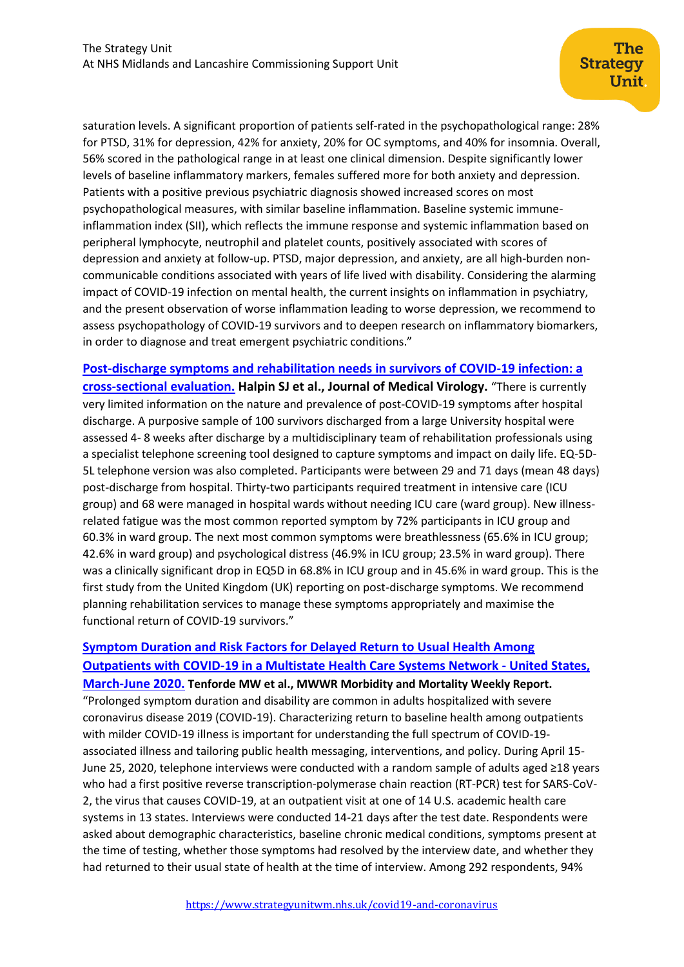saturation levels. A significant proportion of patients self-rated in the psychopathological range: 28% for PTSD, 31% for depression, 42% for anxiety, 20% for OC symptoms, and 40% for insomnia. Overall, 56% scored in the pathological range in at least one clinical dimension. Despite significantly lower levels of baseline inflammatory markers, females suffered more for both anxiety and depression. Patients with a positive previous psychiatric diagnosis showed increased scores on most psychopathological measures, with similar baseline inflammation. Baseline systemic immuneinflammation index (SII), which reflects the immune response and systemic inflammation based on peripheral lymphocyte, neutrophil and platelet counts, positively associated with scores of depression and anxiety at follow-up. PTSD, major depression, and anxiety, are all high-burden noncommunicable conditions associated with years of life lived with disability. Considering the alarming impact of COVID-19 infection on mental health, the current insights on inflammation in psychiatry, and the present observation of worse inflammation leading to worse depression, we recommend to assess psychopathology of COVID-19 survivors and to deepen research on inflammatory biomarkers, in order to diagnose and treat emergent psychiatric conditions."

**[Post-discharge symptoms and rehabilitation needs in survivors of COVID-19 infection: a](https://onlinelibrary.wiley.com/doi/10.1002/jmv.26368)  [cross-sectional evaluation.](https://onlinelibrary.wiley.com/doi/10.1002/jmv.26368) Halpin SJ et al., Journal of Medical Virology.** "There is currently very limited information on the nature and prevalence of post-COVID-19 symptoms after hospital discharge. A purposive sample of 100 survivors discharged from a large University hospital were assessed 4- 8 weeks after discharge by a multidisciplinary team of rehabilitation professionals using a specialist telephone screening tool designed to capture symptoms and impact on daily life. EQ-5D-5L telephone version was also completed. Participants were between 29 and 71 days (mean 48 days) post-discharge from hospital. Thirty-two participants required treatment in intensive care (ICU group) and 68 were managed in hospital wards without needing ICU care (ward group). New illnessrelated fatigue was the most common reported symptom by 72% participants in ICU group and 60.3% in ward group. The next most common symptoms were breathlessness (65.6% in ICU group; 42.6% in ward group) and psychological distress (46.9% in ICU group; 23.5% in ward group). There was a clinically significant drop in EQ5D in 68.8% in ICU group and in 45.6% in ward group. This is the first study from the United Kingdom (UK) reporting on post-discharge symptoms. We recommend planning rehabilitation services to manage these symptoms appropriately and maximise the functional return of COVID-19 survivors."

# **[Symptom Duration and Risk Factors for Delayed Return to Usual Health Among](https://www.cdc.gov/mmwr/volumes/69/wr/mm6930e1.htm?s_cid=mm6930e1_w)  [Outpatients with COVID-19 in a Multistate Health Care Systems Network -](https://www.cdc.gov/mmwr/volumes/69/wr/mm6930e1.htm?s_cid=mm6930e1_w) United States,**

**[March-June 2020.](https://www.cdc.gov/mmwr/volumes/69/wr/mm6930e1.htm?s_cid=mm6930e1_w) Tenforde MW et al., MWWR Morbidity and Mortality Weekly Report.**  "Prolonged symptom duration and disability are common in adults hospitalized with severe coronavirus disease 2019 (COVID-19). Characterizing return to baseline health among outpatients with milder COVID-19 illness is important for understanding the full spectrum of COVID-19 associated illness and tailoring public health messaging, interventions, and policy. During April 15- June 25, 2020, telephone interviews were conducted with a random sample of adults aged ≥18 years who had a first positive reverse transcription-polymerase chain reaction (RT-PCR) test for SARS-CoV-2, the virus that causes COVID-19, at an outpatient visit at one of 14 U.S. academic health care systems in 13 states. Interviews were conducted 14-21 days after the test date. Respondents were asked about demographic characteristics, baseline chronic medical conditions, symptoms present at the time of testing, whether those symptoms had resolved by the interview date, and whether they had returned to their usual state of health at the time of interview. Among 292 respondents, 94%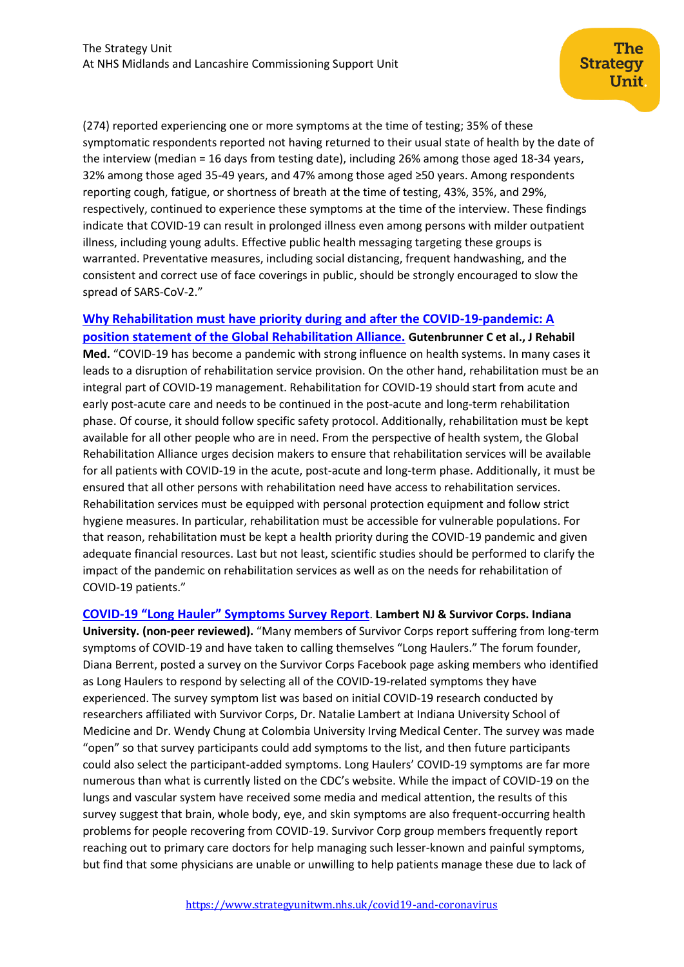(274) reported experiencing one or more symptoms at the time of testing; 35% of these symptomatic respondents reported not having returned to their usual state of health by the date of the interview (median = 16 days from testing date), including 26% among those aged 18-34 years, 32% among those aged 35-49 years, and 47% among those aged ≥50 years. Among respondents reporting cough, fatigue, or shortness of breath at the time of testing, 43%, 35%, and 29%, respectively, continued to experience these symptoms at the time of the interview. These findings indicate that COVID-19 can result in prolonged illness even among persons with milder outpatient illness, including young adults. Effective public health messaging targeting these groups is warranted. Preventative measures, including social distancing, frequent handwashing, and the consistent and correct use of face coverings in public, should be strongly encouraged to slow the spread of SARS-CoV-2."

# **[Why Rehabilitation must have priority during and after the COVID-19-pandemic: A](https://pubmed.ncbi.nlm.nih.gov/32719884/)  [position statement of the Global Rehabilitation Alliance.](https://pubmed.ncbi.nlm.nih.gov/32719884/) Gutenbrunner C et al., J Rehabil**

**Med.** "COVID-19 has become a pandemic with strong influence on health systems. In many cases it leads to a disruption of rehabilitation service provision. On the other hand, rehabilitation must be an integral part of COVID-19 management. Rehabilitation for COVID-19 should start from acute and early post-acute care and needs to be continued in the post-acute and long-term rehabilitation phase. Of course, it should follow specific safety protocol. Additionally, rehabilitation must be kept available for all other people who are in need. From the perspective of health system, the Global Rehabilitation Alliance urges decision makers to ensure that rehabilitation services will be available for all patients with COVID-19 in the acute, post-acute and long-term phase. Additionally, it must be ensured that all other persons with rehabilitation need have access to rehabilitation services. Rehabilitation services must be equipped with personal protection equipment and follow strict hygiene measures. In particular, rehabilitation must be accessible for vulnerable populations. For that reason, rehabilitation must be kept a health priority during the COVID-19 pandemic and given adequate financial resources. Last but not least, scientific studies should be performed to clarify the impact of the pandemic on rehabilitation services as well as on the needs for rehabilitation of COVID-19 patients."

## **COVID-[19 "Long Hauler" Symptoms Survey](https://dig.abclocal.go.com/wls/documents/2020/072720-wls-covid-symptom-study-doc.pdf) Report**. **Lambert NJ & Survivor Corps. Indiana**

**University. (non-peer reviewed).** "Many members of Survivor Corps report suffering from long-term symptoms of COVID-19 and have taken to calling themselves "Long Haulers." The forum founder, Diana Berrent, posted a survey on the Survivor Corps Facebook page asking members who identified as Long Haulers to respond by selecting all of the COVID-19-related symptoms they have experienced. The survey symptom list was based on initial COVID-19 research conducted by researchers affiliated with Survivor Corps, Dr. Natalie Lambert at Indiana University School of Medicine and Dr. Wendy Chung at Colombia University Irving Medical Center. The survey was made "open" so that survey participants could add symptoms to the list, and then future participants could also select the participant-added symptoms. Long Haulers' COVID-19 symptoms are far more numerous than what is currently listed on the CDC's website. While the impact of COVID-19 on the lungs and vascular system have received some media and medical attention, the results of this survey suggest that brain, whole body, eye, and skin symptoms are also frequent-occurring health problems for people recovering from COVID-19. Survivor Corp group members frequently report reaching out to primary care doctors for help managing such lesser-known and painful symptoms, but find that some physicians are unable or unwilling to help patients manage these due to lack of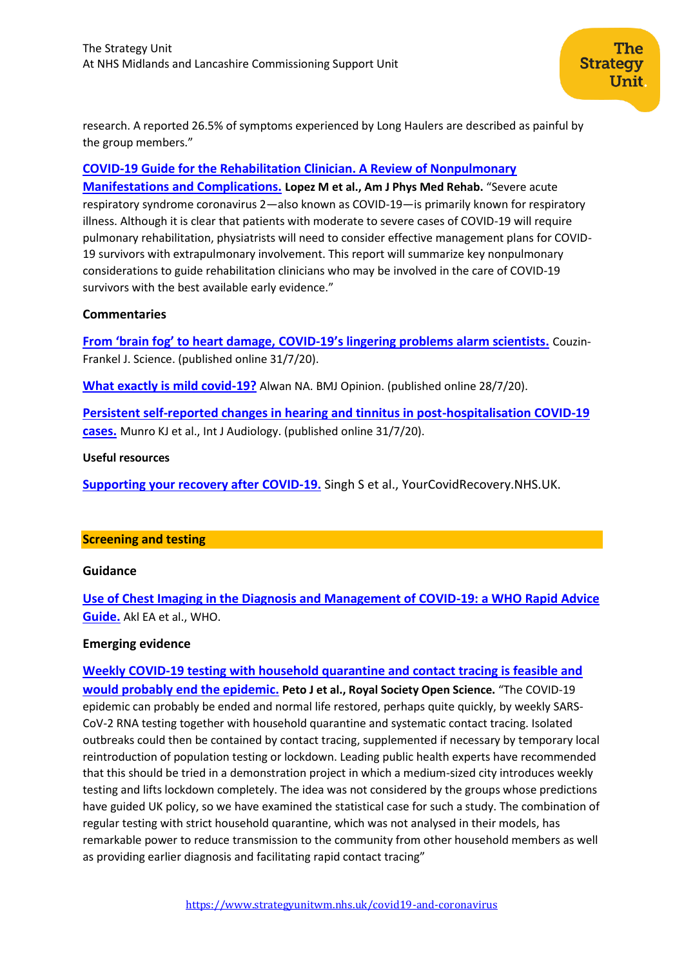research. A reported 26.5% of symptoms experienced by Long Haulers are described as painful by the group members."

## **[COVID-19 Guide for the Rehabilitation Clinician. A Review of Nonpulmonary](https://journals.lww.com/ajpmr/Fulltext/2020/08000/COVID_19_Guide_for_the_Rehabilitation_Clinician__A.2.aspx)**

**Manifestations [and Complications.](https://journals.lww.com/ajpmr/Fulltext/2020/08000/COVID_19_Guide_for_the_Rehabilitation_Clinician__A.2.aspx) Lopez M et al., Am J Phys Med Rehab.** "Severe acute respiratory syndrome coronavirus 2—also known as COVID-19—is primarily known for respiratory illness. Although it is clear that patients with moderate to severe cases of COVID-19 will require pulmonary rehabilitation, physiatrists will need to consider effective management plans for COVID-19 survivors with extrapulmonary involvement. This report will summarize key nonpulmonary considerations to guide rehabilitation clinicians who may be involved in the care of COVID-19 survivors with the best available early evidence."

## **Commentaries**

**From 'brain fog' to heart damage, COVID-[19's lingering problems alarm scientists.](https://www.sciencemag.org/news/2020/07/brain-fog-heart-damage-covid-19-s-lingering-problems-alarm-scientists)** Couzin-Frankel J. Science. (published online 31/7/20).

**[What exactly is mild covid-19?](https://blogs.bmj.com/bmj/2020/07/28/nisreen-a-alwan-what-exactly-is-mild-covid-19/)** Alwan NA. BMJ Opinion. (published online 28/7/20).

**[Persistent self-reported changes in hearing and tinnitus in post-hospitalisation COVID-19](https://www.tandfonline.com/doi/full/10.1080/14992027.2020.1798519)  [cases.](https://www.tandfonline.com/doi/full/10.1080/14992027.2020.1798519)** Munro KJ et al., Int J Audiology. (published online 31/7/20).

## **Useful resources**

**[Supporting your recovery after COVID-19.](https://www.yourcovidrecovery.nhs.uk/)** Singh S et al., YourCovidRecovery.NHS.UK.

## <span id="page-11-0"></span>**Screening and testing**

## **Guidance**

**[Use of Chest Imaging in the Diagnosis and Management of COVID-19: a WHO Rapid Advice](https://pubs.rsna.org/doi/pdf/10.1148/radiol.2020203173)  [Guide.](https://pubs.rsna.org/doi/pdf/10.1148/radiol.2020203173)** Akl EA et al., WHO.

## **Emerging evidence**

**[Weekly COVID-19 testing with household quarantine and contact tracing is feasible and](https://royalsocietypublishing.org/doi/pdf/10.1098/rsos.200915)  [would probably end the epidemic.](https://royalsocietypublishing.org/doi/pdf/10.1098/rsos.200915) Peto J et al., Royal Society Open Science.** "The COVID-19 epidemic can probably be ended and normal life restored, perhaps quite quickly, by weekly SARS-CoV-2 RNA testing together with household quarantine and systematic contact tracing. Isolated outbreaks could then be contained by contact tracing, supplemented if necessary by temporary local reintroduction of population testing or lockdown. Leading public health experts have recommended that this should be tried in a demonstration project in which a medium-sized city introduces weekly testing and lifts lockdown completely. The idea was not considered by the groups whose predictions have guided UK policy, so we have examined the statistical case for such a study. The combination of regular testing with strict household quarantine, which was not analysed in their models, has remarkable power to reduce transmission to the community from other household members as well as providing earlier diagnosis and facilitating rapid contact tracing"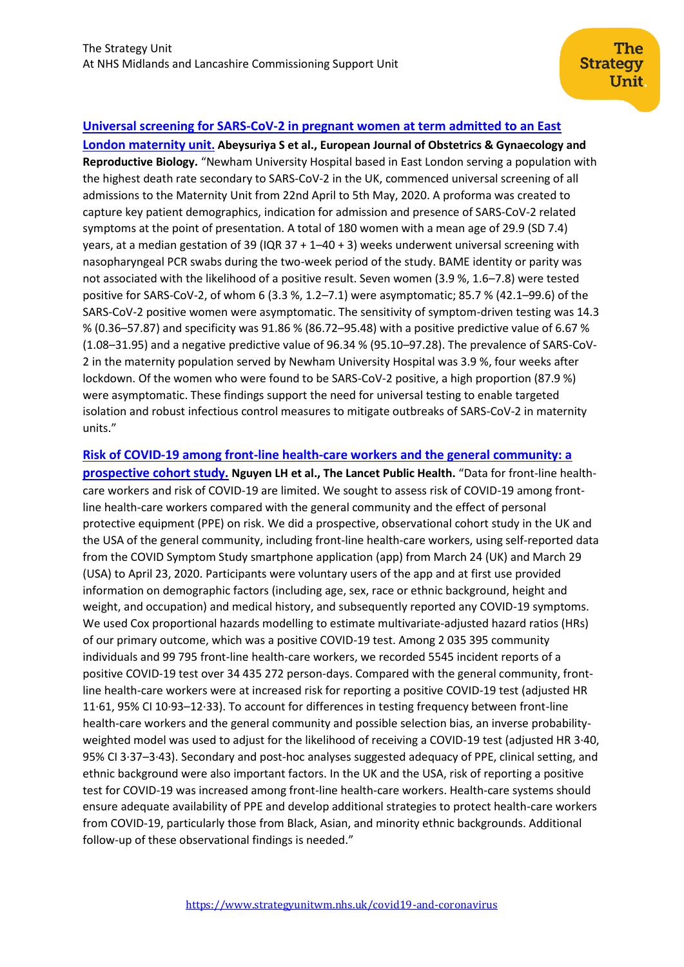## **[Universal screening for SARS-CoV-2 in pregnant women at term admitted to an East](https://www.ejog.org/article/S0301-2115(20)30477-2/fulltext)**

**[London maternity unit](https://www.ejog.org/article/S0301-2115(20)30477-2/fulltext). Abeysuriya S et al., European Journal of Obstetrics & Gynaecology and Reproductive Biology.** "Newham University Hospital based in East London serving a population with the highest death rate secondary to SARS-CoV-2 in the UK, commenced universal screening of all admissions to the Maternity Unit from 22nd April to 5th May, 2020. A proforma was created to capture key patient demographics, indication for admission and presence of SARS-CoV-2 related symptoms at the point of presentation. A total of 180 women with a mean age of 29.9 (SD 7.4) years, at a median gestation of 39 (IQR 37 + 1–40 + 3) weeks underwent universal screening with nasopharyngeal PCR swabs during the two-week period of the study. BAME identity or parity was not associated with the likelihood of a positive result. Seven women (3.9 %, 1.6–7.8) were tested positive for SARS-CoV-2, of whom 6 (3.3 %, 1.2–7.1) were asymptomatic; 85.7 % (42.1–99.6) of the SARS-CoV-2 positive women were asymptomatic. The sensitivity of symptom-driven testing was 14.3 % (0.36–57.87) and specificity was 91.86 % (86.72–95.48) with a positive predictive value of 6.67 % (1.08–31.95) and a negative predictive value of 96.34 % (95.10–97.28). The prevalence of SARS-CoV-2 in the maternity population served by Newham University Hospital was 3.9 %, four weeks after lockdown. Of the women who were found to be SARS-CoV-2 positive, a high proportion (87.9 %) were asymptomatic. These findings support the need for universal testing to enable targeted isolation and robust infectious control measures to mitigate outbreaks of SARS-CoV-2 in maternity units."

## **[Risk of COVID-19 among front-line health-care workers and the general community: a](https://www.thelancet.com/journals/lanpub/article/PIIS2468-2667(20)30164-X/fulltext)**

**[prospective cohort study.](https://www.thelancet.com/journals/lanpub/article/PIIS2468-2667(20)30164-X/fulltext) Nguyen LH et al., The Lancet Public Health.** "Data for front-line healthcare workers and risk of COVID-19 are limited. We sought to assess risk of COVID-19 among frontline health-care workers compared with the general community and the effect of personal protective equipment (PPE) on risk. We did a prospective, observational cohort study in the UK and the USA of the general community, including front-line health-care workers, using self-reported data from the COVID Symptom Study smartphone application (app) from March 24 (UK) and March 29 (USA) to April 23, 2020. Participants were voluntary users of the app and at first use provided information on demographic factors (including age, sex, race or ethnic background, height and weight, and occupation) and medical history, and subsequently reported any COVID-19 symptoms. We used Cox proportional hazards modelling to estimate multivariate-adjusted hazard ratios (HRs) of our primary outcome, which was a positive COVID-19 test. Among 2 035 395 community individuals and 99 795 front-line health-care workers, we recorded 5545 incident reports of a positive COVID-19 test over 34 435 272 person-days. Compared with the general community, frontline health-care workers were at increased risk for reporting a positive COVID-19 test (adjusted HR 11·61, 95% CI 10·93–12·33). To account for differences in testing frequency between front-line health-care workers and the general community and possible selection bias, an inverse probabilityweighted model was used to adjust for the likelihood of receiving a COVID-19 test (adjusted HR 3·40, 95% CI 3·37–3·43). Secondary and post-hoc analyses suggested adequacy of PPE, clinical setting, and ethnic background were also important factors. In the UK and the USA, risk of reporting a positive test for COVID-19 was increased among front-line health-care workers. Health-care systems should ensure adequate availability of PPE and develop additional strategies to protect health-care workers from COVID-19, particularly those from Black, Asian, and minority ethnic backgrounds. Additional follow-up of these observational findings is needed."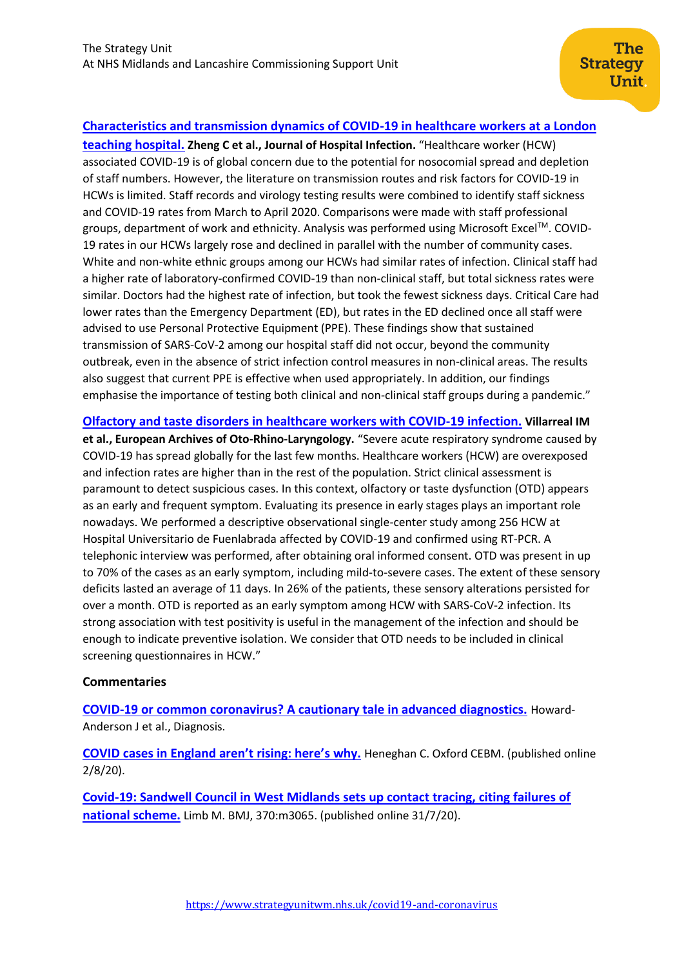## **[Characteristics and transmission dynamics of COVID-19 in healthcare workers at a London](https://www.journalofhospitalinfection.com/article/S0195-6701(20)30356-X/fulltext)**

**[teaching hospital.](https://www.journalofhospitalinfection.com/article/S0195-6701(20)30356-X/fulltext) Zheng C et al., Journal of Hospital Infection.** "Healthcare worker (HCW) associated COVID-19 is of global concern due to the potential for nosocomial spread and depletion of staff numbers. However, the literature on transmission routes and risk factors for COVID-19 in HCWs is limited. Staff records and virology testing results were combined to identify staff sickness and COVID-19 rates from March to April 2020. Comparisons were made with staff professional groups, department of work and ethnicity. Analysis was performed using Microsoft ExcelTM. COVID-19 rates in our HCWs largely rose and declined in parallel with the number of community cases. White and non-white ethnic groups among our HCWs had similar rates of infection. Clinical staff had a higher rate of laboratory-confirmed COVID-19 than non-clinical staff, but total sickness rates were similar. Doctors had the highest rate of infection, but took the fewest sickness days. Critical Care had lower rates than the Emergency Department (ED), but rates in the ED declined once all staff were advised to use Personal Protective Equipment (PPE). These findings show that sustained transmission of SARS-CoV-2 among our hospital staff did not occur, beyond the community outbreak, even in the absence of strict infection control measures in non-clinical areas. The results also suggest that current PPE is effective when used appropriately. In addition, our findings emphasise the importance of testing both clinical and non-clinical staff groups during a pandemic."

**[Olfactory and taste disorders in healthcare workers with COVID-19 infection.](https://link.springer.com/article/10.1007/s00405-020-06237-8) Villarreal IM et al., European Archives of Oto-Rhino-Laryngology.** "Severe acute respiratory syndrome caused by COVID-19 has spread globally for the last few months. Healthcare workers (HCW) are overexposed and infection rates are higher than in the rest of the population. Strict clinical assessment is paramount to detect suspicious cases. In this context, olfactory or taste dysfunction (OTD) appears as an early and frequent symptom. Evaluating its presence in early stages plays an important role nowadays. We performed a descriptive observational single-center study among 256 HCW at Hospital Universitario de Fuenlabrada affected by COVID-19 and confirmed using RT-PCR. A telephonic interview was performed, after obtaining oral informed consent. OTD was present in up to 70% of the cases as an early symptom, including mild-to-severe cases. The extent of these sensory deficits lasted an average of 11 days. In 26% of the patients, these sensory alterations persisted for over a month. OTD is reported as an early symptom among HCW with SARS-CoV-2 infection. Its strong association with test positivity is useful in the management of the infection and should be enough to indicate preventive isolation. We consider that OTD needs to be included in clinical screening questionnaires in HCW."

#### **Commentaries**

**[COVID-19 or common coronavirus? A cautionary tale in advanced diagnostics.](https://www.degruyter.com/view/journals/dx/ahead-of-print/article-10.1515-dx-2020-0093/article-10.1515-dx-2020-0093.xml)** Howard-Anderson J et al., Diagnosis.

**[COVID cases in England aren't rising: here'](https://www.cebm.net/covid-19/covid-cases-in-england-arent-rising-heres-why/)s why.** Heneghan C. Oxford CEBM. (published online 2/8/20).

**[Covid-19: Sandwell Council in West Midlands sets up contact tracing, citing failures of](https://www.bmj.com/content/370/bmj.m3065)  [national scheme.](https://www.bmj.com/content/370/bmj.m3065)** Limb M. BMJ, 370:m3065. (published online 31/7/20).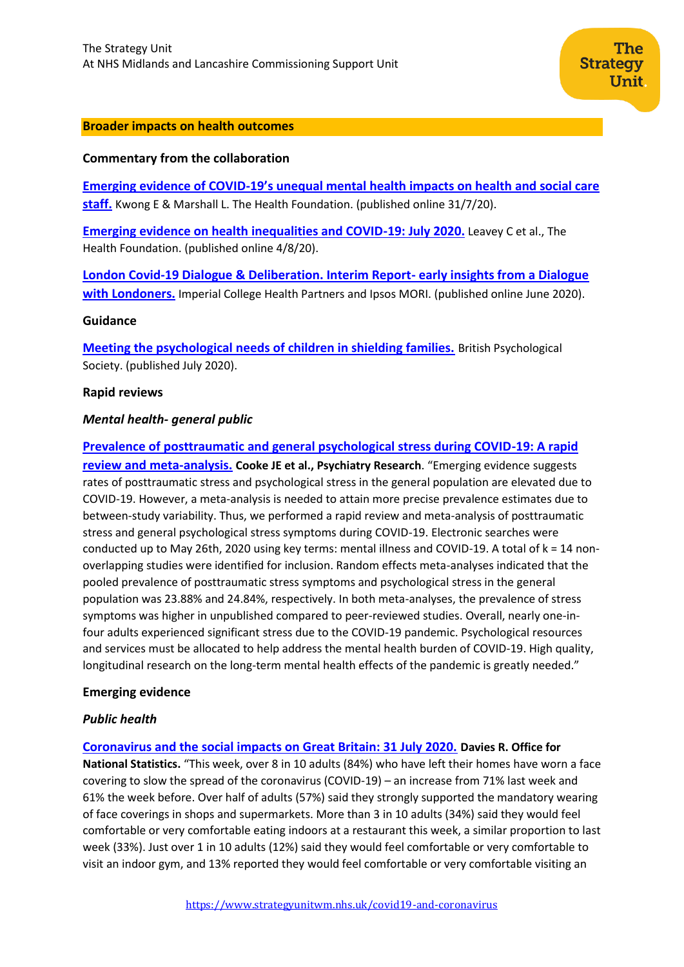#### **Broader impacts on health outcomes**

## **Commentary from the collaboration**

**Emerging evidence of COVID-[19's unequal mental health impacts on health and social care](https://www.health.org.uk/news-and-comment/blogs/emerging-evidence-of-covid-19s-unequal-mental-health-impacts-on-health-and)  [staff.](https://www.health.org.uk/news-and-comment/blogs/emerging-evidence-of-covid-19s-unequal-mental-health-impacts-on-health-and)** Kwong E & Marshall L. The Health Foundation. (published online 31/7/20).

**[Emerging evidence on health inequalities and COVID-19: July 2020.](https://www.health.org.uk/news-and-comment/blogs/emerging-evidence-on-health-inequalities-and-covid-19-july-2020)** Leavey C et al., The Health Foundation. (published online 4/8/20).

**[London Covid-19 Dialogue & Deliberation. Interim Report-](https://imperialcollegehealthpartners.com/wp-content/uploads/2020/07/London-Covid19-dialogue-and-deliberation_INTERIM-report-from-dialogue-phase_29062042375.pdf) early insights from a Dialogue [with Londoners.](https://imperialcollegehealthpartners.com/wp-content/uploads/2020/07/London-Covid19-dialogue-and-deliberation_INTERIM-report-from-dialogue-phase_29062042375.pdf)** Imperial College Health Partners and Ipsos MORI. (published online June 2020).

#### **Guidance**

**[Meeting the psychological needs of children in shielding families.](https://www.bps.org.uk/sites/www.bps.org.uk/files/Policy/Policy%20-%20Files/Meeting%20the%20psychological%20needs%20of%20children%20in%20shielding%20families.pdf)** British Psychological Society. (published July 2020).

#### **Rapid reviews**

#### *Mental health- general public*

#### **[Prevalence of posttraumatic and general psychological stress during COVID-19: A rapid](https://www.sciencedirect.com/science/article/pii/S0165178120326445)**

**[review and meta-analysis.](https://www.sciencedirect.com/science/article/pii/S0165178120326445) Cooke JE et al., Psychiatry Research**. "Emerging evidence suggests rates of posttraumatic stress and psychological stress in the general population are elevated due to COVID-19. However, a meta-analysis is needed to attain more precise prevalence estimates due to between-study variability. Thus, we performed a rapid review and meta-analysis of posttraumatic stress and general psychological stress symptoms during COVID-19. Electronic searches were conducted up to May 26th, 2020 using key terms: mental illness and COVID-19. A total of  $k = 14$  nonoverlapping studies were identified for inclusion. Random effects meta-analyses indicated that the pooled prevalence of posttraumatic stress symptoms and psychological stress in the general population was 23.88% and 24.84%, respectively. In both meta-analyses, the prevalence of stress symptoms was higher in unpublished compared to peer-reviewed studies. Overall, nearly one-infour adults experienced significant stress due to the COVID-19 pandemic. Psychological resources and services must be allocated to help address the mental health burden of COVID-19. High quality, longitudinal research on the long-term mental health effects of the pandemic is greatly needed."

#### **Emerging evidence**

#### *Public health*

**[Coronavirus and the social impacts on Great Britain: 31 July 2020.](ons.gov.uk/peoplepopulationandcommunity/healthandsocialcare/healthandwellbeing/bulletins/coronavirusandthesocialimpactsongreatbritain/31july2020) Davies R. Office for National Statistics.** "This week, over 8 in 10 adults (84%) who have left their homes have worn a face covering to slow the spread of the coronavirus (COVID-19) – an increase from 71% last week and 61% the week before. Over half of adults (57%) said they strongly supported the mandatory wearing of face coverings in shops and supermarkets. More than 3 in 10 adults (34%) said they would feel comfortable or very comfortable eating indoors at a restaurant this week, a similar proportion to last week (33%). Just over 1 in 10 adults (12%) said they would feel comfortable or very comfortable to visit an indoor gym, and 13% reported they would feel comfortable or very comfortable visiting an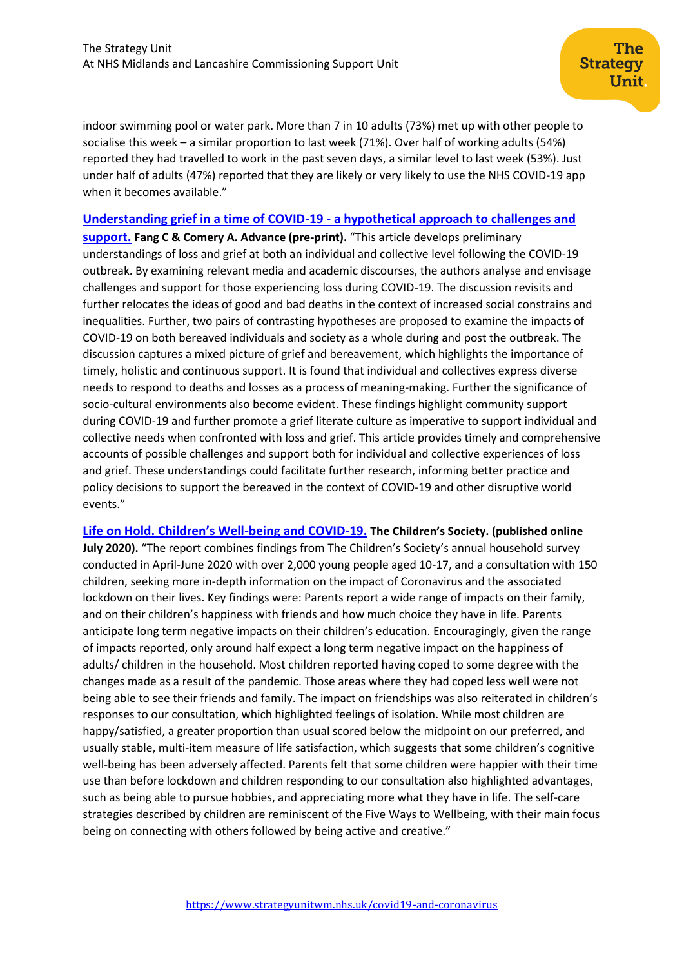indoor swimming pool or water park. More than 7 in 10 adults (73%) met up with other people to socialise this week – a similar proportion to last week (71%). Over half of working adults (54%) reported they had travelled to work in the past seven days, a similar level to last week (53%). Just under half of adults (47%) reported that they are likely or very likely to use the NHS COVID-19 app when it becomes available."

#### **[Understanding grief in a time of COVID-19 -](https://advance.sagepub.com/articles/preprint/Understanding_grief_in_a_time_of_COVID-19_-_a_hypothetical_approach_to_challenges_and_support/12687788) a hypothetical approach to challenges and**

**[support.](https://advance.sagepub.com/articles/preprint/Understanding_grief_in_a_time_of_COVID-19_-_a_hypothetical_approach_to_challenges_and_support/12687788) Fang C & Comery A. Advance (pre-print).** "This article develops preliminary understandings of loss and grief at both an individual and collective level following the COVID-19 outbreak. By examining relevant media and academic discourses, the authors analyse and envisage challenges and support for those experiencing loss during COVID-19. The discussion revisits and further relocates the ideas of good and bad deaths in the context of increased social constrains and inequalities. Further, two pairs of contrasting hypotheses are proposed to examine the impacts of COVID-19 on both bereaved individuals and society as a whole during and post the outbreak. The discussion captures a mixed picture of grief and bereavement, which highlights the importance of timely, holistic and continuous support. It is found that individual and collectives express diverse needs to respond to deaths and losses as a process of meaning-making. Further the significance of socio-cultural environments also become evident. These findings highlight community support during COVID-19 and further promote a grief literate culture as imperative to support individual and collective needs when confronted with loss and grief. This article provides timely and comprehensive accounts of possible challenges and support both for individual and collective experiences of loss and grief. These understandings could facilitate further research, informing better practice and policy decisions to support the bereaved in the context of COVID-19 and other disruptive world events."

**Life [on Hold. Children's Well](https://www.childrenssociety.org.uk/sites/default/files/life-on-hold-childrens-well-being-and-covid-19.pdf)-being and COVID-19. The Children's Society. (published online**  July 2020). "The report combines findings from The Children's Society's annual household survey conducted in April-June 2020 with over 2,000 young people aged 10-17, and a consultation with 150 children, seeking more in-depth information on the impact of Coronavirus and the associated lockdown on their lives. Key findings were: Parents report a wide range of impacts on their family, and on their children's happiness with friends and how much choice they have in life. Parents anticipate long term negative impacts on their children's education. Encouragingly, given the range of impacts reported, only around half expect a long term negative impact on the happiness of adults/ children in the household. Most children reported having coped to some degree with the changes made as a result of the pandemic. Those areas where they had coped less well were not being able to see their friends and family. The impact on friendships was also reiterated in children's responses to our consultation, which highlighted feelings of isolation. While most children are happy/satisfied, a greater proportion than usual scored below the midpoint on our preferred, and usually stable, multi-item measure of life satisfaction, which suggests that some children's cognitive well-being has been adversely affected. Parents felt that some children were happier with their time use than before lockdown and children responding to our consultation also highlighted advantages, such as being able to pursue hobbies, and appreciating more what they have in life. The self-care strategies described by children are reminiscent of the Five Ways to Wellbeing, with their main focus being on connecting with others followed by being active and creative."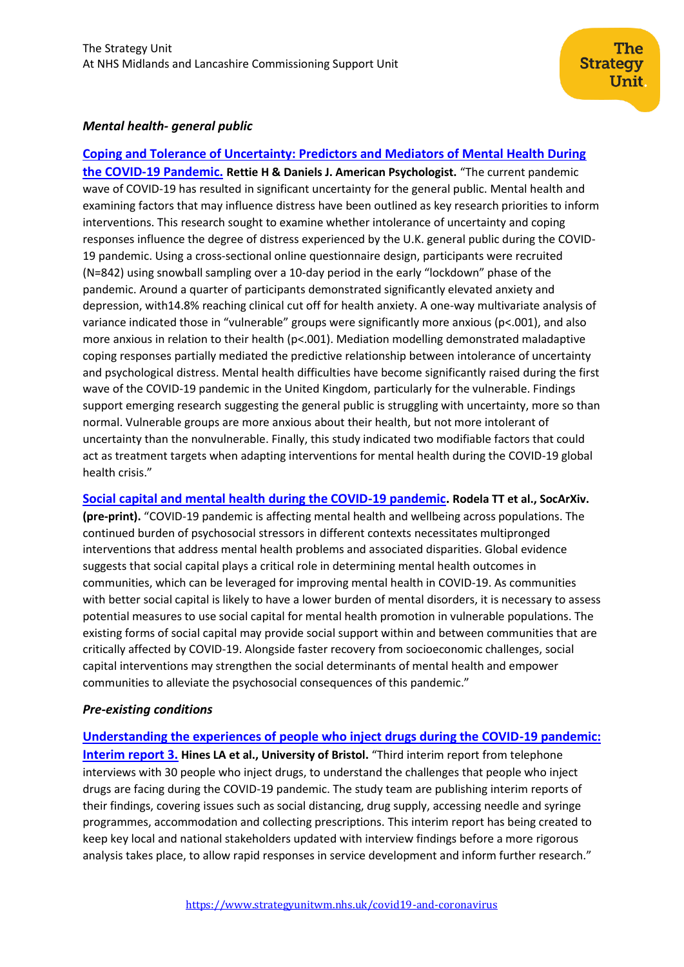## *Mental health- general public*

**[Coping and Tolerance of Uncertainty: Predictors and Mediators of Mental Health During](https://doi.apa.org/fulltext/2020-52963-001.pdf?sr=1)  [the COVID-19 Pandemic.](https://doi.apa.org/fulltext/2020-52963-001.pdf?sr=1) Rettie H & Daniels J. American Psychologist.** "The current pandemic wave of COVID-19 has resulted in significant uncertainty for the general public. Mental health and examining factors that may influence distress have been outlined as key research priorities to inform interventions. This research sought to examine whether intolerance of uncertainty and coping responses influence the degree of distress experienced by the U.K. general public during the COVID-19 pandemic. Using a cross-sectional online questionnaire design, participants were recruited (N=842) using snowball sampling over a 10-day period in the early "lockdown" phase of the pandemic. Around a quarter of participants demonstrated significantly elevated anxiety and depression, with14.8% reaching clinical cut off for health anxiety. A one-way multivariate analysis of variance indicated those in "vulnerable" groups were significantly more anxious (p<.001), and also more anxious in relation to their health (p<.001). Mediation modelling demonstrated maladaptive coping responses partially mediated the predictive relationship between intolerance of uncertainty and psychological distress. Mental health difficulties have become significantly raised during the first wave of the COVID-19 pandemic in the United Kingdom, particularly for the vulnerable. Findings support emerging research suggesting the general public is struggling with uncertainty, more so than normal. Vulnerable groups are more anxious about their health, but not more intolerant of uncertainty than the nonvulnerable. Finally, this study indicated two modifiable factors that could act as treatment targets when adapting interventions for mental health during the COVID-19 global health crisis."

**[Social capital and mental health during the COVID-19 pandemic.](https://osf.io/preprints/socarxiv/zrkgh/download) Rodela TT et al., SocArXiv. (pre-print).** "COVID-19 pandemic is affecting mental health and wellbeing across populations. The continued burden of psychosocial stressors in different contexts necessitates multipronged interventions that address mental health problems and associated disparities. Global evidence suggests that social capital plays a critical role in determining mental health outcomes in communities, which can be leveraged for improving mental health in COVID-19. As communities with better social capital is likely to have a lower burden of mental disorders, it is necessary to assess potential measures to use social capital for mental health promotion in vulnerable populations. The existing forms of social capital may provide social support within and between communities that are critically affected by COVID-19. Alongside faster recovery from socioeconomic challenges, social capital interventions may strengthen the social determinants of mental health and empower communities to alleviate the psychosocial consequences of this pandemic."

#### *Pre-existing conditions*

**[Understanding the experiences of people who inject drugs during the COVID-19 pandemic:](https://arc-w.nihr.ac.uk/Wordpress/wp-content/uploads/2020/07/LUCID-B-Interim-report-3-28th-July-2020.pdf)  [Interim report 3.](https://arc-w.nihr.ac.uk/Wordpress/wp-content/uploads/2020/07/LUCID-B-Interim-report-3-28th-July-2020.pdf) Hines LA et al., University of Bristol.** "Third interim report from telephone interviews with 30 people who inject drugs, to understand the challenges that people who inject drugs are facing during the COVID-19 pandemic. The study team are publishing interim reports of their findings, covering issues such as social distancing, drug supply, accessing needle and syringe programmes, accommodation and collecting prescriptions. This interim report has being created to keep key local and national stakeholders updated with interview findings before a more rigorous analysis takes place, to allow rapid responses in service development and inform further research."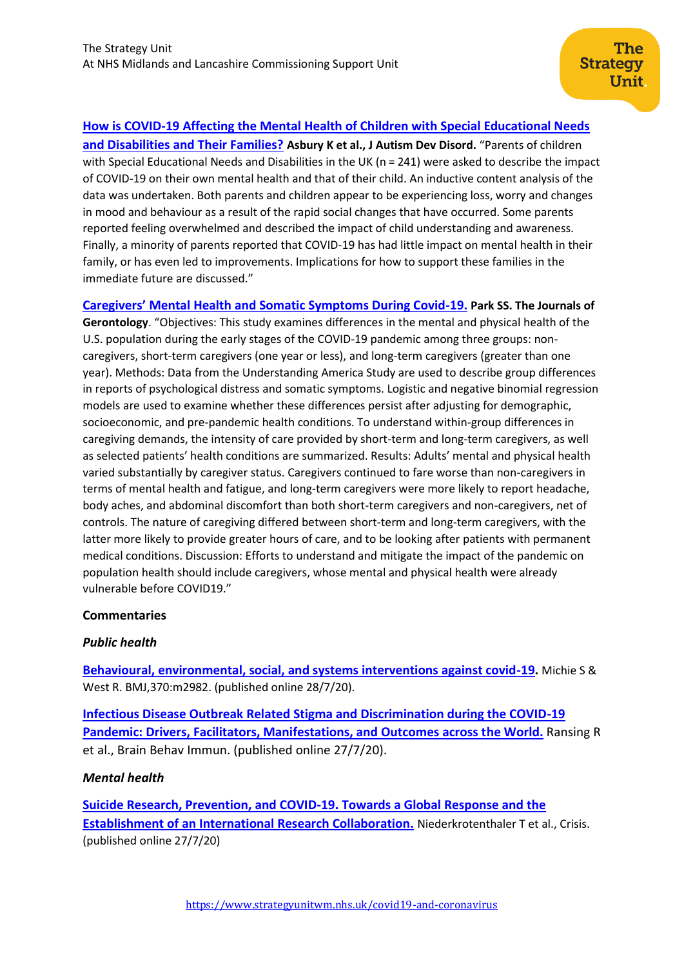# **[How is COVID-19 Affecting the Mental Health of Children with Special Educational Needs](https://www.ncbi.nlm.nih.gov/research/coronavirus/publication/32737668)**

**[and Disabilities and Their Families?](https://www.ncbi.nlm.nih.gov/research/coronavirus/publication/32737668) Asbury K et al., J Autism Dev Disord.** "Parents of children with Special Educational Needs and Disabilities in the UK (n = 241) were asked to describe the impact of COVID-19 on their own mental health and that of their child. An inductive content analysis of the data was undertaken. Both parents and children appear to be experiencing loss, worry and changes in mood and behaviour as a result of the rapid social changes that have occurred. Some parents reported feeling overwhelmed and described the impact of child understanding and awareness. Finally, a minority of parents reported that COVID-19 has had little impact on mental health in their family, or has even led to improvements. Implications for how to support these families in the immediate future are discussed."

## **[Caregivers' Mental Health and Somatic Symptoms During Covid](https://academic.oup.com/psychsocgerontology/article/doi/10.1093/geronb/gbaa121/5879757)-19. Park SS. The Journals of**

**Gerontology**. "Objectives: This study examines differences in the mental and physical health of the U.S. population during the early stages of the COVID-19 pandemic among three groups: noncaregivers, short-term caregivers (one year or less), and long-term caregivers (greater than one year). Methods: Data from the Understanding America Study are used to describe group differences in reports of psychological distress and somatic symptoms. Logistic and negative binomial regression models are used to examine whether these differences persist after adjusting for demographic, socioeconomic, and pre-pandemic health conditions. To understand within-group differences in caregiving demands, the intensity of care provided by short-term and long-term caregivers, as well as selected patients' health conditions are summarized. Results: Adults' mental and physical health varied substantially by caregiver status. Caregivers continued to fare worse than non-caregivers in terms of mental health and fatigue, and long-term caregivers were more likely to report headache, body aches, and abdominal discomfort than both short-term caregivers and non-caregivers, net of controls. The nature of caregiving differed between short-term and long-term caregivers, with the latter more likely to provide greater hours of care, and to be looking after patients with permanent medical conditions. Discussion: Efforts to understand and mitigate the impact of the pandemic on population health should include caregivers, whose mental and physical health were already vulnerable before COVID19."

## **Commentaries**

## *Public health*

**[Behavioural, environmental, social, and systems interventions against covid-19.](https://www.bmj.com/content/370/bmj.m2982)** Michie S & West R. BMJ,370:m2982. (published online 28/7/20).

**[Infectious Disease Outbreak Related Stigma and Discrimination during the COVID-19](https://www.ncbi.nlm.nih.gov/pmc/articles/PMC7384410/)  [Pandemic: Drivers, Facilitators, Manifestations, and Outcomes across the World.](https://www.ncbi.nlm.nih.gov/pmc/articles/PMC7384410/)** Ransing R et al., Brain Behav Immun. (published online 27/7/20).

## *Mental health*

**[Suicide Research, Prevention, and COVID-19. Towards a Global Response and the](https://econtent.hogrefe.com/doi/pdf/10.1027/0227-5910/a000731)  [Establishment of an International Research Collaboration.](https://econtent.hogrefe.com/doi/pdf/10.1027/0227-5910/a000731)** Niederkrotenthaler T et al., Crisis. (published online 27/7/20)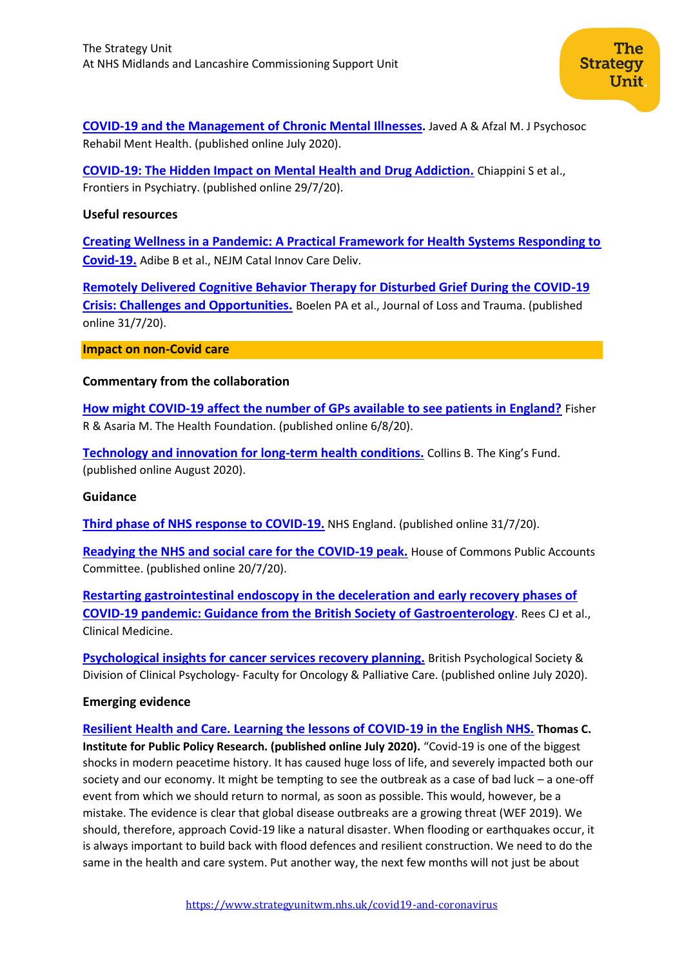**[COVID-19 and the Management of Chronic Mental Illnesses](https://link.springer.com/content/pdf/10.1007/s40737-020-00188-3.pdf).** Javed A & Afzal M. J Psychosoc Rehabil Ment Health. (published online July 2020).

**[COVID-19: The Hidden Impact on Mental Health and Drug Addiction.](https://www.frontiersin.org/articles/10.3389/fpsyt.2020.00767/full)** Chiappini S et al., Frontiers in Psychiatry. (published online 29/7/20).

#### **Useful resources**

**[Creating Wellness in a Pandemic: A Practical Framework for Health Systems Responding to](https://www.ncbi.nlm.nih.gov/pmc/articles/PMC7371299/)  [Covid-19.](https://www.ncbi.nlm.nih.gov/pmc/articles/PMC7371299/)** Adibe B et al., NEJM Catal Innov Care Deliv.

**[Remotely Delivered Cognitive Behavior Therapy for Disturbed Grief During the COVID-19](https://www.tandfonline.com/doi/pdf/10.1080/15325024.2020.1793547)  [Crisis: Challenges and Opportunities.](https://www.tandfonline.com/doi/pdf/10.1080/15325024.2020.1793547)** Boelen PA et al., Journal of Loss and Trauma. (published online 31/7/20).

**Impact on non-Covid care**

## **Commentary from the collaboration**

**[How might COVID-19 affect the number of GPs available to see patients in England?](https://www.health.org.uk/publications/long-reads/how-might-covid-19-affect-the-number-of-gps-available-to-see-patients-in-england)** Fisher R & Asaria M. The Health Foundation. (published online 6/8/20).

**[Technology and innovation for long-term](https://www.kingsfund.org.uk/sites/default/files/2020-07/Technology%20and%20innovation%20for%20long-term%20health%20conditions%20August%202020.pdf) health conditions.** Collins B. The King's Fund. (published online August 2020).

#### **Guidance**

**[Third phase of NHS response to COVID-19.](https://www.england.nhs.uk/coronavirus/publication/third-phase-response/)** NHS England. (published online 31/7/20).

**[Readying the NHS and social care for the COVID-19 peak.](https://committees.parliament.uk/publications/2179/documents/20139/default/)** House of Commons Public Accounts Committee. (published online 20/7/20).

**[Restarting gastrointestinal endoscopy in the deceleration and early recovery phases of](https://www.rcpjournals.org/content/clinmedicine/early/2020/06/08/clinmed.2020-0296.full.pdf)  [COVID-19 pandemic: Guidance from the British Society of Gastroenterology](https://www.rcpjournals.org/content/clinmedicine/early/2020/06/08/clinmed.2020-0296.full.pdf)**. Rees CJ et al., Clinical Medicine.

**[Psychological insights for cancer services recovery planning.](https://www.bps.org.uk/sites/www.bps.org.uk/files/Policy/Policy%20-%20Files/Psychological%20insights%20for%20cancer%20services%20recovery%20planning.pdf)** British Psychological Society & Division of Clinical Psychology- Faculty for Oncology & Palliative Care. (published online July 2020).

## **Emerging evidence**

**[Resilient Health and Care. Learning the lessons of COVID-19 in the English NHS.](https://www.ippr.org/files/2020-07/resilient-health-and-care-july20.pdf) Thomas C. Institute for Public Policy Research. (published online July 2020).** "Covid-19 is one of the biggest shocks in modern peacetime history. It has caused huge loss of life, and severely impacted both our society and our economy. It might be tempting to see the outbreak as a case of bad luck – a one-off event from which we should return to normal, as soon as possible. This would, however, be a mistake. The evidence is clear that global disease outbreaks are a growing threat (WEF 2019). We should, therefore, approach Covid-19 like a natural disaster. When flooding or earthquakes occur, it is always important to build back with flood defences and resilient construction. We need to do the same in the health and care system. Put another way, the next few months will not just be about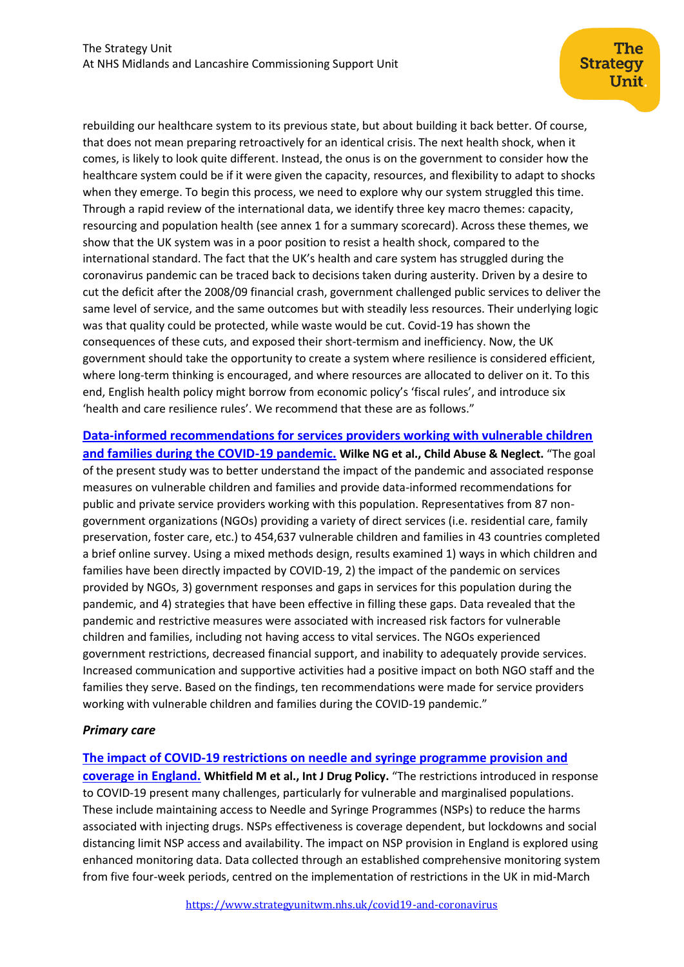rebuilding our healthcare system to its previous state, but about building it back better. Of course, that does not mean preparing retroactively for an identical crisis. The next health shock, when it comes, is likely to look quite different. Instead, the onus is on the government to consider how the healthcare system could be if it were given the capacity, resources, and flexibility to adapt to shocks when they emerge. To begin this process, we need to explore why our system struggled this time. Through a rapid review of the international data, we identify three key macro themes: capacity, resourcing and population health (see annex 1 for a summary scorecard). Across these themes, we show that the UK system was in a poor position to resist a health shock, compared to the international standard. The fact that the UK's health and care system has struggled during the coronavirus pandemic can be traced back to decisions taken during austerity. Driven by a desire to cut the deficit after the 2008/09 financial crash, government challenged public services to deliver the same level of service, and the same outcomes but with steadily less resources. Their underlying logic was that quality could be protected, while waste would be cut. Covid-19 has shown the consequences of these cuts, and exposed their short-termism and inefficiency. Now, the UK government should take the opportunity to create a system where resilience is considered efficient, where long-term thinking is encouraged, and where resources are allocated to deliver on it. To this end, English health policy might borrow from economic policy's 'fiscal rules', and introduce six 'health and care resilience rules'. We recommend that these are as follows."

**[Data-informed recommendations for services providers working with vulnerable children](https://www.sciencedirect.com/science/article/pii/S0145213420302970)  [and families during the COVID-19 pandemic.](https://www.sciencedirect.com/science/article/pii/S0145213420302970) Wilke NG et al., Child Abuse & Neglect.** "The goal of the present study was to better understand the impact of the pandemic and associated response measures on vulnerable children and families and provide data-informed recommendations for public and private service providers working with this population. Representatives from 87 nongovernment organizations (NGOs) providing a variety of direct services (i.e. residential care, family preservation, foster care, etc.) to 454,637 vulnerable children and families in 43 countries completed a brief online survey. Using a mixed methods design, results examined 1) ways in which children and families have been directly impacted by COVID-19, 2) the impact of the pandemic on services provided by NGOs, 3) government responses and gaps in services for this population during the pandemic, and 4) strategies that have been effective in filling these gaps. Data revealed that the pandemic and restrictive measures were associated with increased risk factors for vulnerable children and families, including not having access to vital services. The NGOs experienced government restrictions, decreased financial support, and inability to adequately provide services. Increased communication and supportive activities had a positive impact on both NGO staff and the families they serve. Based on the findings, ten recommendations were made for service providers working with vulnerable children and families during the COVID-19 pandemic."

#### *Primary care*

#### **[The impact of COVID-19 restrictions on needle and syringe programme provision and](https://www.sciencedirect.com/science/article/pii/S0955395920301912?via%3Dihub)**

**[coverage in England.](https://www.sciencedirect.com/science/article/pii/S0955395920301912?via%3Dihub) Whitfield M et al., Int J Drug Policy.** "The restrictions introduced in response to COVID-19 present many challenges, particularly for vulnerable and marginalised populations. These include maintaining access to Needle and Syringe Programmes (NSPs) to reduce the harms associated with injecting drugs. NSPs effectiveness is coverage dependent, but lockdowns and social distancing limit NSP access and availability. The impact on NSP provision in England is explored using enhanced monitoring data. Data collected through an established comprehensive monitoring system from five four-week periods, centred on the implementation of restrictions in the UK in mid-March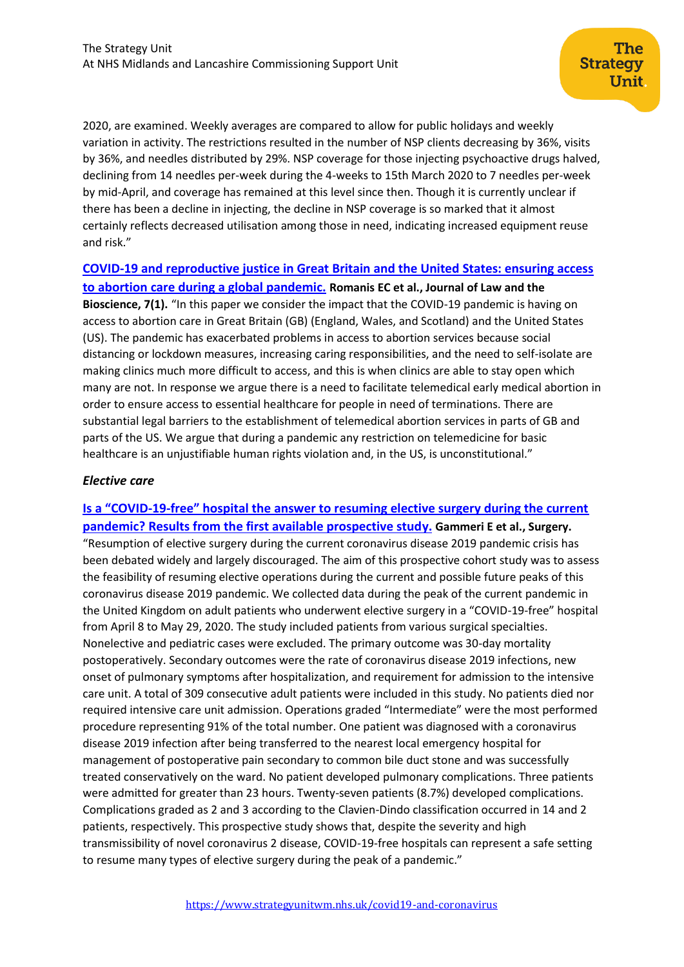2020, are examined. Weekly averages are compared to allow for public holidays and weekly variation in activity. The restrictions resulted in the number of NSP clients decreasing by 36%, visits by 36%, and needles distributed by 29%. NSP coverage for those injecting psychoactive drugs halved, declining from 14 needles per-week during the 4-weeks to 15th March 2020 to 7 needles per-week by mid-April, and coverage has remained at this level since then. Though it is currently unclear if there has been a decline in injecting, the decline in NSP coverage is so marked that it almost certainly reflects decreased utilisation among those in need, indicating increased equipment reuse and risk."

**[COVID-19 and reproductive justice in Great Britain and the United States: ensuring access](https://academic.oup.com/jlb/article/7/1/lsaa027/5838025)  [to abortion care during a global pandemic.](https://academic.oup.com/jlb/article/7/1/lsaa027/5838025) Romanis EC et al., Journal of Law and the Bioscience, 7(1).** "In this paper we consider the impact that the COVID-19 pandemic is having on access to abortion care in Great Britain (GB) (England, Wales, and Scotland) and the United States (US). The pandemic has exacerbated problems in access to abortion services because social distancing or lockdown measures, increasing caring responsibilities, and the need to self-isolate are making clinics much more difficult to access, and this is when clinics are able to stay open which many are not. In response we argue there is a need to facilitate telemedical early medical abortion in order to ensure access to essential healthcare for people in need of terminations. There are substantial legal barriers to the establishment of telemedical abortion services in parts of GB and parts of the US. We argue that during a pandemic any restriction on telemedicine for basic healthcare is an unjustifiable human rights violation and, in the US, is unconstitutional."

## *Elective care*

# **Is a "COVID-19-[free" hospital the answer to resuming elective surgery during the current](https://www.surgjournal.com/article/S0039-6060(20)30434-7/fulltext)  [pandemic? Results from the first available prospective study.](https://www.surgjournal.com/article/S0039-6060(20)30434-7/fulltext) Gammeri E et al., Surgery.**

"Resumption of elective surgery during the current coronavirus disease 2019 pandemic crisis has been debated widely and largely discouraged. The aim of this prospective cohort study was to assess the feasibility of resuming elective operations during the current and possible future peaks of this coronavirus disease 2019 pandemic. We collected data during the peak of the current pandemic in the United Kingdom on adult patients who underwent elective surgery in a "COVID-19-free" hospital from April 8 to May 29, 2020. The study included patients from various surgical specialties. Nonelective and pediatric cases were excluded. The primary outcome was 30-day mortality postoperatively. Secondary outcomes were the rate of coronavirus disease 2019 infections, new onset of pulmonary symptoms after hospitalization, and requirement for admission to the intensive care unit. A total of 309 consecutive adult patients were included in this study. No patients died nor required intensive care unit admission. Operations graded "Intermediate" were the most performed procedure representing 91% of the total number. One patient was diagnosed with a coronavirus disease 2019 infection after being transferred to the nearest local emergency hospital for management of postoperative pain secondary to common bile duct stone and was successfully treated conservatively on the ward. No patient developed pulmonary complications. Three patients were admitted for greater than 23 hours. Twenty-seven patients (8.7%) developed complications. Complications graded as 2 and 3 according to the Clavien-Dindo classification occurred in 14 and 2 patients, respectively. This prospective study shows that, despite the severity and high transmissibility of novel coronavirus 2 disease, COVID-19-free hospitals can represent a safe setting to resume many types of elective surgery during the peak of a pandemic."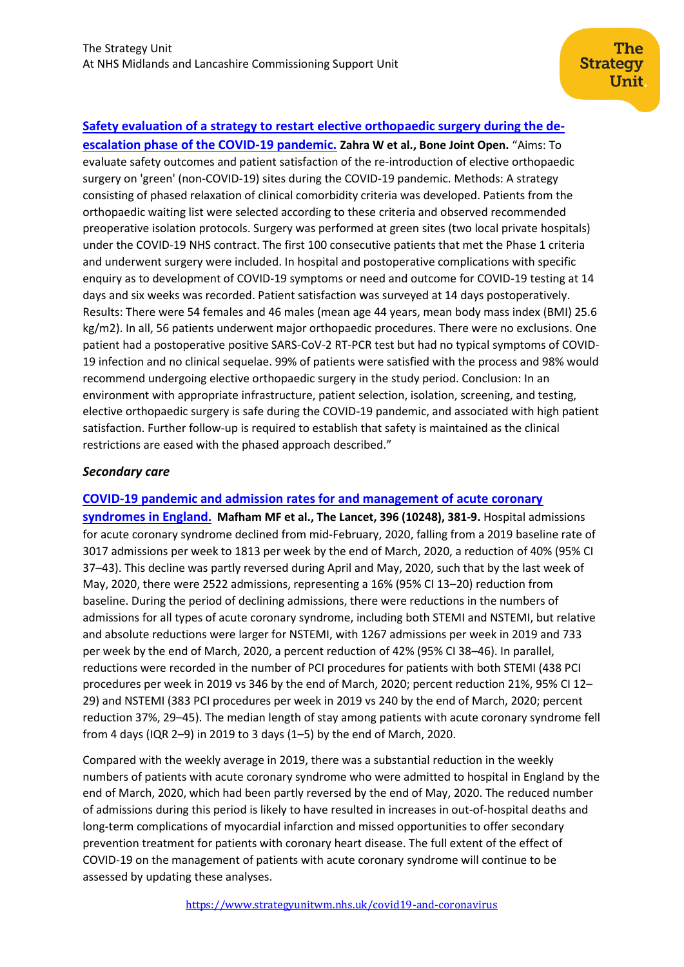# **[Safety evaluation of a strategy to restart elective orthopaedic surgery during the de-](https://online.boneandjoint.org.uk/doi/pdf/10.1302/2633-1462.18.BJO-2020-0105.R1)**

**[escalation phase of the COVID-19](https://online.boneandjoint.org.uk/doi/pdf/10.1302/2633-1462.18.BJO-2020-0105.R1) pandemic. Zahra W et al., Bone Joint Open.** "Aims: To evaluate safety outcomes and patient satisfaction of the re-introduction of elective orthopaedic surgery on 'green' (non-COVID-19) sites during the COVID-19 pandemic. Methods: A strategy consisting of phased relaxation of clinical comorbidity criteria was developed. Patients from the orthopaedic waiting list were selected according to these criteria and observed recommended preoperative isolation protocols. Surgery was performed at green sites (two local private hospitals) under the COVID-19 NHS contract. The first 100 consecutive patients that met the Phase 1 criteria and underwent surgery were included. In hospital and postoperative complications with specific enquiry as to development of COVID-19 symptoms or need and outcome for COVID-19 testing at 14 days and six weeks was recorded. Patient satisfaction was surveyed at 14 days postoperatively. Results: There were 54 females and 46 males (mean age 44 years, mean body mass index (BMI) 25.6 kg/m2). In all, 56 patients underwent major orthopaedic procedures. There were no exclusions. One patient had a postoperative positive SARS-CoV-2 RT-PCR test but had no typical symptoms of COVID-19 infection and no clinical sequelae. 99% of patients were satisfied with the process and 98% would recommend undergoing elective orthopaedic surgery in the study period. Conclusion: In an environment with appropriate infrastructure, patient selection, isolation, screening, and testing, elective orthopaedic surgery is safe during the COVID-19 pandemic, and associated with high patient satisfaction. Further follow-up is required to establish that safety is maintained as the clinical restrictions are eased with the phased approach described."

## *Secondary care*

## **[COVID-19 pandemic and admission rates for and management of acute coronary](https://www.thelancet.com/journals/lancet/article/PIIS0140-6736(20)31356-8/fulltext)**

**[syndromes in England](https://www.thelancet.com/journals/lancet/article/PIIS0140-6736(20)31356-8/fulltext). Mafham MF et al., The Lancet, 396 (10248), 381-9.** Hospital admissions for acute coronary syndrome declined from mid-February, 2020, falling from a 2019 baseline rate of 3017 admissions per week to 1813 per week by the end of March, 2020, a reduction of 40% (95% CI 37–43). This decline was partly reversed during April and May, 2020, such that by the last week of May, 2020, there were 2522 admissions, representing a 16% (95% CI 13–20) reduction from baseline. During the period of declining admissions, there were reductions in the numbers of admissions for all types of acute coronary syndrome, including both STEMI and NSTEMI, but relative and absolute reductions were larger for NSTEMI, with 1267 admissions per week in 2019 and 733 per week by the end of March, 2020, a percent reduction of 42% (95% CI 38–46). In parallel, reductions were recorded in the number of PCI procedures for patients with both STEMI (438 PCI procedures per week in 2019 vs 346 by the end of March, 2020; percent reduction 21%, 95% CI 12– 29) and NSTEMI (383 PCI procedures per week in 2019 vs 240 by the end of March, 2020; percent reduction 37%, 29–45). The median length of stay among patients with acute coronary syndrome fell from 4 days (IQR 2–9) in 2019 to 3 days (1–5) by the end of March, 2020.

Compared with the weekly average in 2019, there was a substantial reduction in the weekly numbers of patients with acute coronary syndrome who were admitted to hospital in England by the end of March, 2020, which had been partly reversed by the end of May, 2020. The reduced number of admissions during this period is likely to have resulted in increases in out-of-hospital deaths and long-term complications of myocardial infarction and missed opportunities to offer secondary prevention treatment for patients with coronary heart disease. The full extent of the effect of COVID-19 on the management of patients with acute coronary syndrome will continue to be assessed by updating these analyses.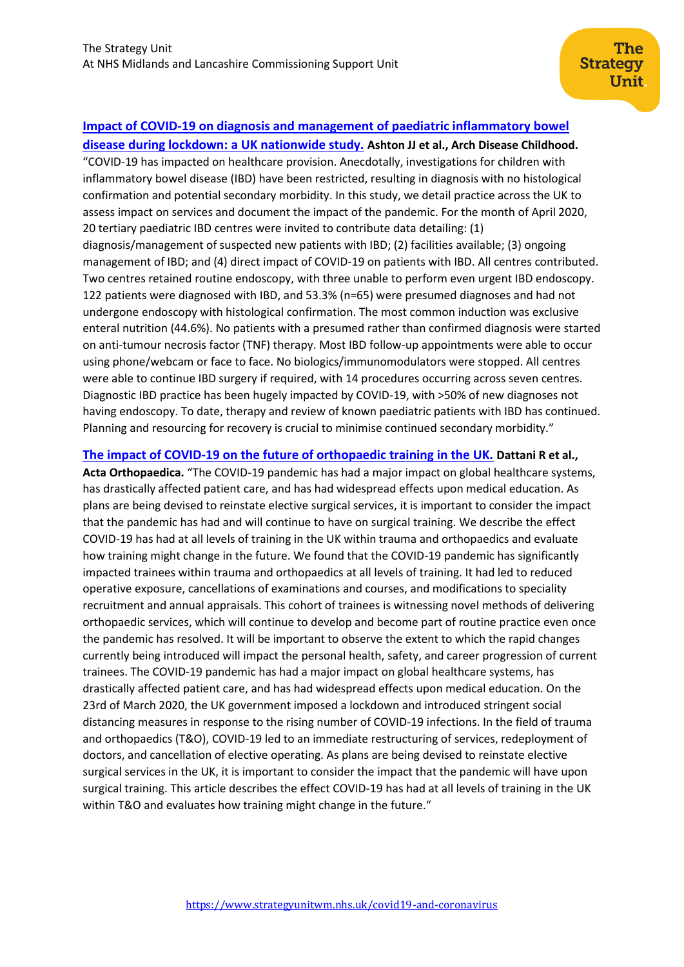# **[Impact of COVID-19 on diagnosis and management of paediatric inflammatory bowel](https://adc.bmj.com/content/early/2020/08/02/archdischild-2020-319751)**

**[disease during lockdown: a UK nationwide study.](https://adc.bmj.com/content/early/2020/08/02/archdischild-2020-319751) Ashton JJ et al., Arch Disease Childhood.**  "COVID-19 has impacted on healthcare provision. Anecdotally, investigations for children with inflammatory bowel disease (IBD) have been restricted, resulting in diagnosis with no histological confirmation and potential secondary morbidity. In this study, we detail practice across the UK to assess impact on services and document the impact of the pandemic. For the month of April 2020, 20 tertiary paediatric IBD centres were invited to contribute data detailing: (1) diagnosis/management of suspected new patients with IBD; (2) facilities available; (3) ongoing management of IBD; and (4) direct impact of COVID-19 on patients with IBD. All centres contributed. Two centres retained routine endoscopy, with three unable to perform even urgent IBD endoscopy. 122 patients were diagnosed with IBD, and 53.3% (n=65) were presumed diagnoses and had not undergone endoscopy with histological confirmation. The most common induction was exclusive enteral nutrition (44.6%). No patients with a presumed rather than confirmed diagnosis were started on anti-tumour necrosis factor (TNF) therapy. Most IBD follow-up appointments were able to occur using phone/webcam or face to face. No biologics/immunomodulators were stopped. All centres were able to continue IBD surgery if required, with 14 procedures occurring across seven centres. Diagnostic IBD practice has been hugely impacted by COVID-19, with >50% of new diagnoses not having endoscopy. To date, therapy and review of known paediatric patients with IBD has continued. Planning and resourcing for recovery is crucial to minimise continued secondary morbidity."

## **[The impact of COVID-19 on the future of orthopaedic training in the UK.](https://www.tandfonline.com/doi/full/10.1080/17453674.2020.1795790) Dattani R et al.,**

**Acta Orthopaedica.** "The COVID-19 pandemic has had a major impact on global healthcare systems, has drastically affected patient care, and has had widespread effects upon medical education. As plans are being devised to reinstate elective surgical services, it is important to consider the impact that the pandemic has had and will continue to have on surgical training. We describe the effect COVID-19 has had at all levels of training in the UK within trauma and orthopaedics and evaluate how training might change in the future. We found that the COVID-19 pandemic has significantly impacted trainees within trauma and orthopaedics at all levels of training. It had led to reduced operative exposure, cancellations of examinations and courses, and modifications to speciality recruitment and annual appraisals. This cohort of trainees is witnessing novel methods of delivering orthopaedic services, which will continue to develop and become part of routine practice even once the pandemic has resolved. It will be important to observe the extent to which the rapid changes currently being introduced will impact the personal health, safety, and career progression of current trainees. The COVID-19 pandemic has had a major impact on global healthcare systems, has drastically affected patient care, and has had widespread effects upon medical education. On the 23rd of March 2020, the UK government imposed a lockdown and introduced stringent social distancing measures in response to the rising number of COVID-19 infections. In the field of trauma and orthopaedics (T&O), COVID-19 led to an immediate restructuring of services, redeployment of doctors, and cancellation of elective operating. As plans are being devised to reinstate elective surgical services in the UK, it is important to consider the impact that the pandemic will have upon surgical training. This article describes the effect COVID-19 has had at all levels of training in the UK within T&O and evaluates how training might change in the future."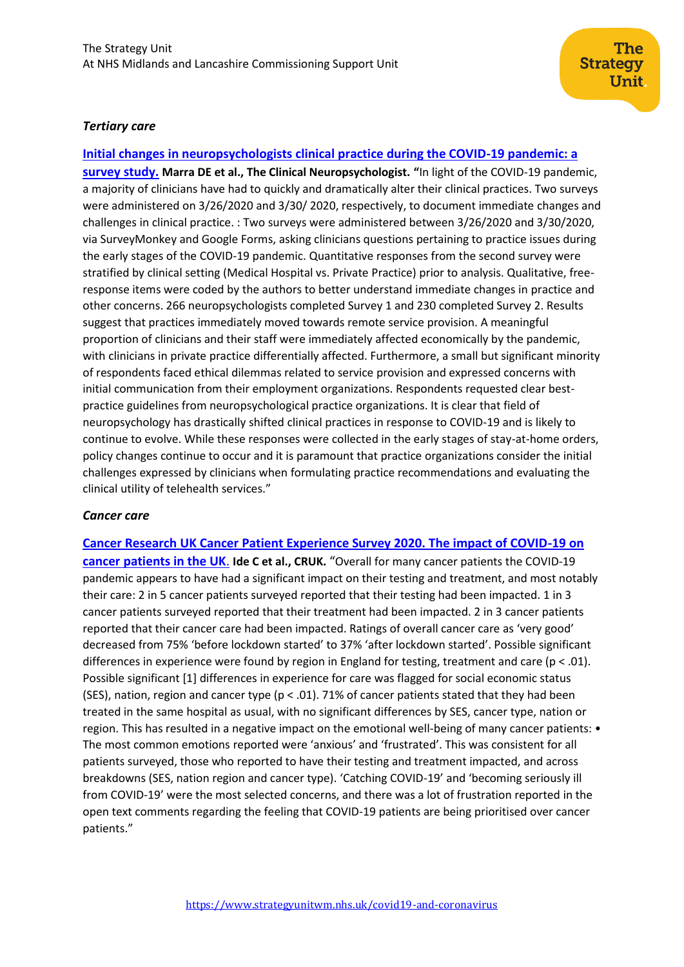## *Tertiary care*

**[Initial changes in neuropsychologists clinical practice during the COVID-19 pandemic: a](https://www.tandfonline.com/doi/pdf/10.1080/13854046.2020.1800098?needAccess=true)  [survey study.](https://www.tandfonline.com/doi/pdf/10.1080/13854046.2020.1800098?needAccess=true) Marra DE et al., The Clinical Neuropsychologist. "**In light of the COVID-19 pandemic, a majority of clinicians have had to quickly and dramatically alter their clinical practices. Two surveys were administered on 3/26/2020 and 3/30/ 2020, respectively, to document immediate changes and challenges in clinical practice. : Two surveys were administered between 3/26/2020 and 3/30/2020, via SurveyMonkey and Google Forms, asking clinicians questions pertaining to practice issues during the early stages of the COVID-19 pandemic. Quantitative responses from the second survey were stratified by clinical setting (Medical Hospital vs. Private Practice) prior to analysis. Qualitative, freeresponse items were coded by the authors to better understand immediate changes in practice and other concerns. 266 neuropsychologists completed Survey 1 and 230 completed Survey 2. Results suggest that practices immediately moved towards remote service provision. A meaningful proportion of clinicians and their staff were immediately affected economically by the pandemic, with clinicians in private practice differentially affected. Furthermore, a small but significant minority of respondents faced ethical dilemmas related to service provision and expressed concerns with initial communication from their employment organizations. Respondents requested clear bestpractice guidelines from neuropsychological practice organizations. It is clear that field of neuropsychology has drastically shifted clinical practices in response to COVID-19 and is likely to continue to evolve. While these responses were collected in the early stages of stay-at-home orders, policy changes continue to occur and it is paramount that practice organizations consider the initial challenges expressed by clinicians when formulating practice recommendations and evaluating the clinical utility of telehealth services."

## *Cancer care*

**[Cancer Research UK Cancer Patient Experience Survey 2020. The impact of COVID-19 on](https://www.cancerresearchuk.org/sites/default/files/pes-covid_2020.pdf)  [cancer patients in the UK](https://www.cancerresearchuk.org/sites/default/files/pes-covid_2020.pdf)**. **Ide C et al., CRUK.** "Overall for many cancer patients the COVID-19 pandemic appears to have had a significant impact on their testing and treatment, and most notably their care: 2 in 5 cancer patients surveyed reported that their testing had been impacted. 1 in 3 cancer patients surveyed reported that their treatment had been impacted. 2 in 3 cancer patients reported that their cancer care had been impacted. Ratings of overall cancer care as 'very good' decreased from 75% 'before lockdown started' to 37% 'after lockdown started'. Possible significant differences in experience were found by region in England for testing, treatment and care ( $p < .01$ ). Possible significant [1] differences in experience for care was flagged for social economic status (SES), nation, region and cancer type ( $p < .01$ ). 71% of cancer patients stated that they had been treated in the same hospital as usual, with no significant differences by SES, cancer type, nation or region. This has resulted in a negative impact on the emotional well-being of many cancer patients: • The most common emotions reported were 'anxious' and 'frustrated'. This was consistent for all patients surveyed, those who reported to have their testing and treatment impacted, and across breakdowns (SES, nation region and cancer type). 'Catching COVID-19' and 'becoming seriously ill from COVID-19' were the most selected concerns, and there was a lot of frustration reported in the open text comments regarding the feeling that COVID-19 patients are being prioritised over cancer patients."